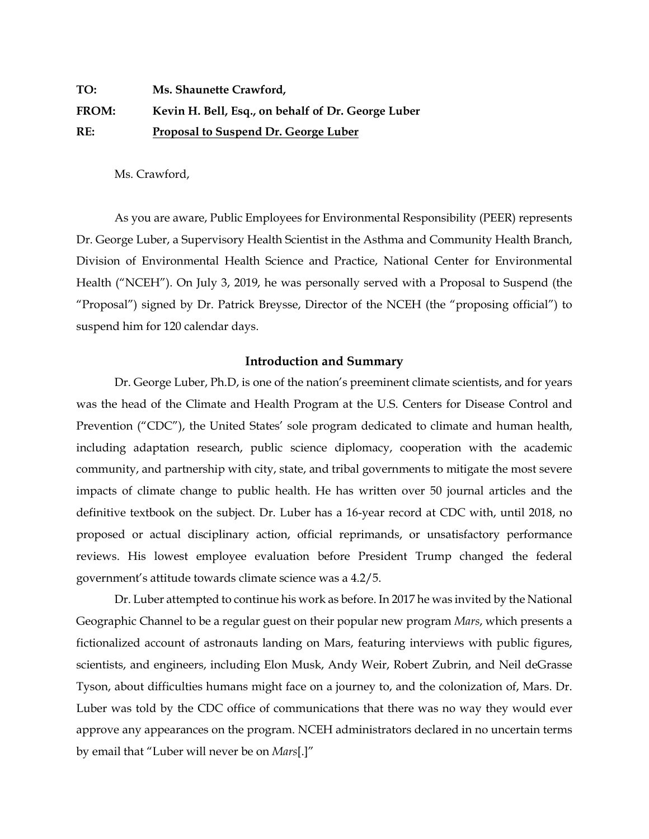| TO:   | Ms. Shaunette Crawford,                            |
|-------|----------------------------------------------------|
| FROM: | Kevin H. Bell, Esq., on behalf of Dr. George Luber |
| RE:   | Proposal to Suspend Dr. George Luber               |

Ms. Crawford,

As you are aware, Public Employees for Environmental Responsibility (PEER) represents Dr. George Luber, a Supervisory Health Scientist in the Asthma and Community Health Branch, Division of Environmental Health Science and Practice, National Center for Environmental Health ("NCEH"). On July 3, 2019, he was personally served with a Proposal to Suspend (the "Proposal") signed by Dr. Patrick Breysse, Director of the NCEH (the "proposing official") to suspend him for 120 calendar days.

## **Introduction and Summary**

Dr. George Luber, Ph.D, is one of the nation's preeminent climate scientists, and for years was the head of the Climate and Health Program at the U.S. Centers for Disease Control and Prevention ("CDC"), the United States' sole program dedicated to climate and human health, including adaptation research, public science diplomacy, cooperation with the academic community, and partnership with city, state, and tribal governments to mitigate the most severe impacts of climate change to public health. He has written over 50 journal articles and the definitive textbook on the subject. Dr. Luber has a 16-year record at CDC with, until 2018, no proposed or actual disciplinary action, official reprimands, or unsatisfactory performance reviews. His lowest employee evaluation before President Trump changed the federal government's attitude towards climate science was a 4.2/5.

Dr. Luber attempted to continue his work as before. In 2017 he was invited by the National Geographic Channel to be a regular guest on their popular new program *Mars*, which presents a fictionalized account of astronauts landing on Mars, featuring interviews with public figures, scientists, and engineers, including Elon Musk, Andy Weir, Robert Zubrin, and Neil deGrasse Tyson, about difficulties humans might face on a journey to, and the colonization of, Mars. Dr. Luber was told by the CDC office of communications that there was no way they would ever approve any appearances on the program. NCEH administrators declared in no uncertain terms by email that "Luber will never be on *Mars*[.]"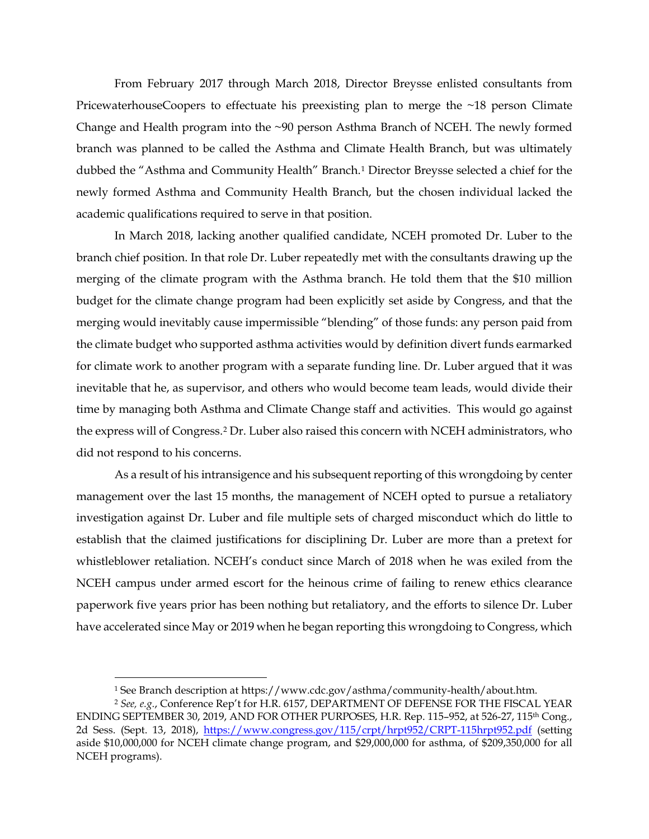From February 2017 through March 2018, Director Breysse enlisted consultants from PricewaterhouseCoopers to effectuate his preexisting plan to merge the ~18 person Climate Change and Health program into the ~90 person Asthma Branch of NCEH. The newly formed branch was planned to be called the Asthma and Climate Health Branch, but was ultimately dubbed the "Asthma and Community Health" Branch.[1](#page-1-0) Director Breysse selected a chief for the newly formed Asthma and Community Health Branch, but the chosen individual lacked the academic qualifications required to serve in that position.

In March 2018, lacking another qualified candidate, NCEH promoted Dr. Luber to the branch chief position. In that role Dr. Luber repeatedly met with the consultants drawing up the merging of the climate program with the Asthma branch. He told them that the \$10 million budget for the climate change program had been explicitly set aside by Congress, and that the merging would inevitably cause impermissible "blending" of those funds: any person paid from the climate budget who supported asthma activities would by definition divert funds earmarked for climate work to another program with a separate funding line. Dr. Luber argued that it was inevitable that he, as supervisor, and others who would become team leads, would divide their time by managing both Asthma and Climate Change staff and activities. This would go against the express will of Congress.[2](#page-1-1) Dr. Luber also raised this concern with NCEH administrators, who did not respond to his concerns.

As a result of his intransigence and his subsequent reporting of this wrongdoing by center management over the last 15 months, the management of NCEH opted to pursue a retaliatory investigation against Dr. Luber and file multiple sets of charged misconduct which do little to establish that the claimed justifications for disciplining Dr. Luber are more than a pretext for whistleblower retaliation. NCEH's conduct since March of 2018 when he was exiled from the NCEH campus under armed escort for the heinous crime of failing to renew ethics clearance paperwork five years prior has been nothing but retaliatory, and the efforts to silence Dr. Luber have accelerated since May or 2019 when he began reporting this wrongdoing to Congress, which

 <sup>1</sup> See Branch description at https://www.cdc.gov/asthma/community-health/about.htm.

<span id="page-1-1"></span><span id="page-1-0"></span><sup>2</sup> *See, e.g.*, Conference Rep't for H.R. 6157, DEPARTMENT OF DEFENSE FOR THE FISCAL YEAR ENDING SEPTEMBER 30, 2019, AND FOR OTHER PURPOSES, H.R. Rep. 115-952, at 526-27, 115<sup>th</sup> Cong., 2d Sess. (Sept. 13, 2018), <https://www.congress.gov/115/crpt/hrpt952/CRPT-115hrpt952.pdf> (setting aside \$10,000,000 for NCEH climate change program, and \$29,000,000 for asthma, of \$209,350,000 for all NCEH programs).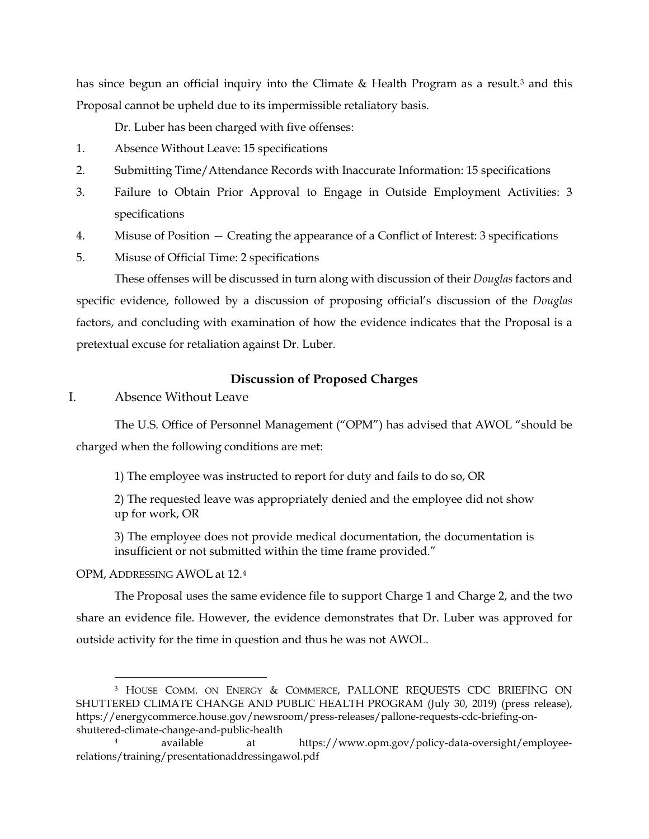has since begun an official inquiry into the Climate  $\&$  Health Program as a result.<sup>[3](#page-2-0)</sup> and this Proposal cannot be upheld due to its impermissible retaliatory basis.

Dr. Luber has been charged with five offenses:

- 1. Absence Without Leave: 15 specifications
- 2. Submitting Time/Attendance Records with Inaccurate Information: 15 specifications
- 3. Failure to Obtain Prior Approval to Engage in Outside Employment Activities: 3 specifications
- 4. Misuse of Position Creating the appearance of a Conflict of Interest: 3 specifications
- 5. Misuse of Official Time: 2 specifications

These offenses will be discussed in turn along with discussion of their *Douglas* factors and specific evidence, followed by a discussion of proposing official's discussion of the *Douglas* factors, and concluding with examination of how the evidence indicates that the Proposal is a pretextual excuse for retaliation against Dr. Luber.

# **Discussion of Proposed Charges**

I. Absence Without Leave

The U.S. Office of Personnel Management ("OPM") has advised that AWOL "should be charged when the following conditions are met:

1) The employee was instructed to report for duty and fails to do so, OR

2) The requested leave was appropriately denied and the employee did not show up for work, OR

3) The employee does not provide medical documentation, the documentation is insufficient or not submitted within the time frame provided."

#### OPM, ADDRESSING AWOL at 12.[4](#page-2-1)

The Proposal uses the same evidence file to support Charge 1 and Charge 2, and the two share an evidence file. However, the evidence demonstrates that Dr. Luber was approved for outside activity for the time in question and thus he was not AWOL.

<span id="page-2-0"></span> <sup>3</sup> HOUSE COMM. ON ENERGY & COMMERCE, PALLONE REQUESTS CDC BRIEFING ON SHUTTERED CLIMATE CHANGE AND PUBLIC HEALTH PROGRAM (July 30, 2019) (press release), https://energycommerce.house.gov/newsroom/press-releases/pallone-requests-cdc-briefing-onshuttered-climate-change-and-public-health

<span id="page-2-1"></span><sup>4</sup> available at https://www.opm.gov/policy-data-oversight/employeerelations/training/presentationaddressingawol.pdf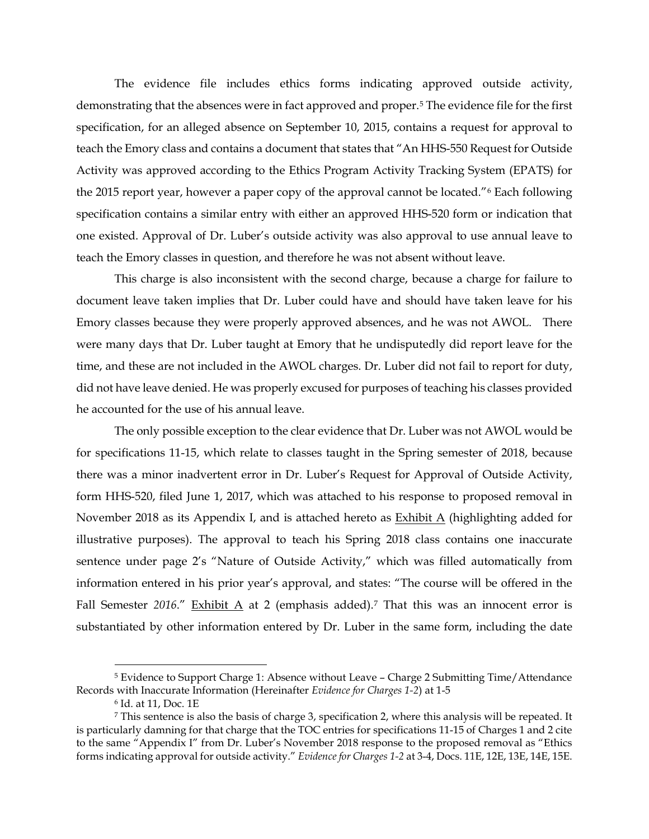The evidence file includes ethics forms indicating approved outside activity, demonstrating that the absences were in fact approved and proper.[5](#page-3-0) The evidence file for the first specification, for an alleged absence on September 10, 2015, contains a request for approval to teach the Emory class and contains a document that states that "An HHS-550 Request for Outside Activity was approved according to the Ethics Program Activity Tracking System (EPATS) for the 2015 report year, however a paper copy of the approval cannot be located."[6](#page-3-1) Each following specification contains a similar entry with either an approved HHS-520 form or indication that one existed. Approval of Dr. Luber's outside activity was also approval to use annual leave to teach the Emory classes in question, and therefore he was not absent without leave.

This charge is also inconsistent with the second charge, because a charge for failure to document leave taken implies that Dr. Luber could have and should have taken leave for his Emory classes because they were properly approved absences, and he was not AWOL. There were many days that Dr. Luber taught at Emory that he undisputedly did report leave for the time, and these are not included in the AWOL charges. Dr. Luber did not fail to report for duty, did not have leave denied. He was properly excused for purposes of teaching his classes provided he accounted for the use of his annual leave.

The only possible exception to the clear evidence that Dr. Luber was not AWOL would be for specifications 11-15, which relate to classes taught in the Spring semester of 2018, because there was a minor inadvertent error in Dr. Luber's Request for Approval of Outside Activity, form HHS-520, filed June 1, 2017, which was attached to his response to proposed removal in November 2018 as its Appendix I, and is attached hereto as  $Exhibit A$  (highlighting added for illustrative purposes). The approval to teach his Spring 2018 class contains one inaccurate sentence under page 2's "Nature of Outside Activity," which was filled automatically from information entered in his prior year's approval, and states: "The course will be offered in the Fall Semester 2016." Exhibit A at 2 (emphasis added).<sup>[7](#page-3-2)</sup> That this was an innocent error is substantiated by other information entered by Dr. Luber in the same form, including the date

<span id="page-3-0"></span> <sup>5</sup> Evidence to Support Charge 1: Absence without Leave – Charge 2 Submitting Time/Attendance Records with Inaccurate Information (Hereinafter *Evidence for Charges 1-2*) at 1-5

<sup>6</sup> Id. at 11, Doc. 1E

<span id="page-3-2"></span><span id="page-3-1"></span><sup>7</sup> This sentence is also the basis of charge 3, specification 2, where this analysis will be repeated. It is particularly damning for that charge that the TOC entries for specifications 11-15 of Charges 1 and 2 cite to the same "Appendix I" from Dr. Luber's November 2018 response to the proposed removal as "Ethics forms indicating approval for outside activity." *Evidence for Charges 1-2* at 3-4, Docs. 11E, 12E, 13E, 14E, 15E.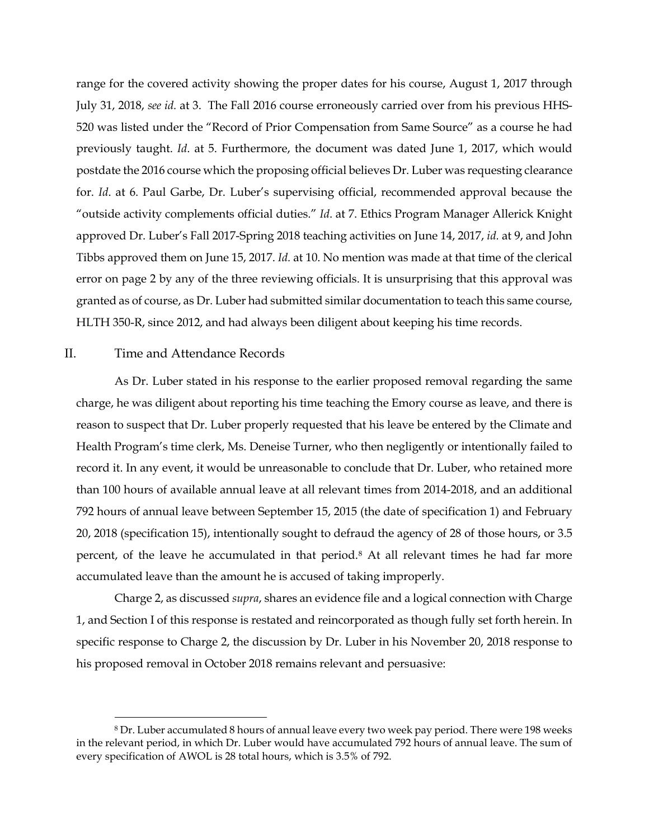range for the covered activity showing the proper dates for his course, August 1, 2017 through July 31, 2018, *see id.* at 3. The Fall 2016 course erroneously carried over from his previous HHS-520 was listed under the "Record of Prior Compensation from Same Source" as a course he had previously taught. *Id*. at 5. Furthermore, the document was dated June 1, 2017, which would postdate the 2016 course which the proposing official believes Dr. Luber was requesting clearance for. *Id*. at 6. Paul Garbe, Dr. Luber's supervising official, recommended approval because the "outside activity complements official duties." *Id*. at 7. Ethics Program Manager Allerick Knight approved Dr. Luber's Fall 2017-Spring 2018 teaching activities on June 14, 2017, *id.* at 9, and John Tibbs approved them on June 15, 2017. *Id.* at 10. No mention was made at that time of the clerical error on page 2 by any of the three reviewing officials. It is unsurprising that this approval was granted as of course, as Dr. Luber had submitted similar documentation to teach this same course, HLTH 350-R, since 2012, and had always been diligent about keeping his time records.

# II. Time and Attendance Records

As Dr. Luber stated in his response to the earlier proposed removal regarding the same charge, he was diligent about reporting his time teaching the Emory course as leave, and there is reason to suspect that Dr. Luber properly requested that his leave be entered by the Climate and Health Program's time clerk, Ms. Deneise Turner, who then negligently or intentionally failed to record it. In any event, it would be unreasonable to conclude that Dr. Luber, who retained more than 100 hours of available annual leave at all relevant times from 2014-2018, and an additional 792 hours of annual leave between September 15, 2015 (the date of specification 1) and February 20, 2018 (specification 15), intentionally sought to defraud the agency of 28 of those hours, or 3.5 percent, of the leave he accumulated in that period.[8](#page-4-0) At all relevant times he had far more accumulated leave than the amount he is accused of taking improperly.

Charge 2, as discussed *supra*, shares an evidence file and a logical connection with Charge 1, and Section I of this response is restated and reincorporated as though fully set forth herein. In specific response to Charge 2, the discussion by Dr. Luber in his November 20, 2018 response to his proposed removal in October 2018 remains relevant and persuasive:

<span id="page-4-0"></span> <sup>8</sup> Dr. Luber accumulated 8 hours of annual leave every two week pay period. There were 198 weeks in the relevant period, in which Dr. Luber would have accumulated 792 hours of annual leave. The sum of every specification of AWOL is 28 total hours, which is 3.5% of 792.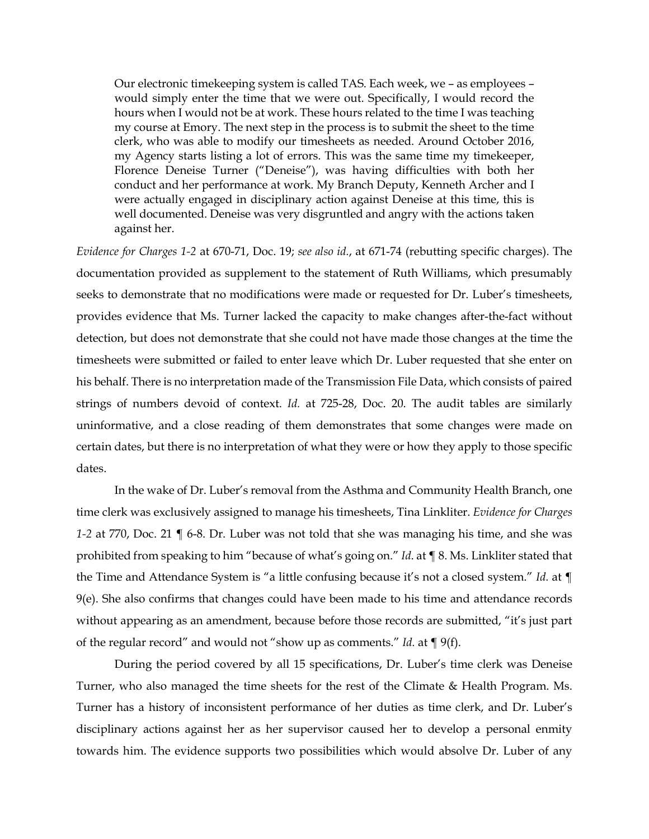Our electronic timekeeping system is called TAS. Each week, we – as employees – would simply enter the time that we were out. Specifically, I would record the hours when I would not be at work. These hours related to the time I was teaching my course at Emory. The next step in the process is to submit the sheet to the time clerk, who was able to modify our timesheets as needed. Around October 2016, my Agency starts listing a lot of errors. This was the same time my timekeeper, Florence Deneise Turner ("Deneise"), was having difficulties with both her conduct and her performance at work. My Branch Deputy, Kenneth Archer and I were actually engaged in disciplinary action against Deneise at this time, this is well documented. Deneise was very disgruntled and angry with the actions taken against her.

*Evidence for Charges 1-2* at 670-71, Doc. 19; *see also id.*, at 671-74 (rebutting specific charges). The documentation provided as supplement to the statement of Ruth Williams, which presumably seeks to demonstrate that no modifications were made or requested for Dr. Luber's timesheets, provides evidence that Ms. Turner lacked the capacity to make changes after-the-fact without detection, but does not demonstrate that she could not have made those changes at the time the timesheets were submitted or failed to enter leave which Dr. Luber requested that she enter on his behalf. There is no interpretation made of the Transmission File Data, which consists of paired strings of numbers devoid of context. *Id.* at 725-28, Doc. 20. The audit tables are similarly uninformative, and a close reading of them demonstrates that some changes were made on certain dates, but there is no interpretation of what they were or how they apply to those specific dates.

In the wake of Dr. Luber's removal from the Asthma and Community Health Branch, one time clerk was exclusively assigned to manage his timesheets, Tina Linkliter. *Evidence for Charges 1-2* at 770, Doc. 21 ¶ 6-8. Dr. Luber was not told that she was managing his time, and she was prohibited from speaking to him "because of what's going on." *Id*. at ¶ 8. Ms. Linkliter stated that the Time and Attendance System is "a little confusing because it's not a closed system." *Id.* at ¶ 9(e). She also confirms that changes could have been made to his time and attendance records without appearing as an amendment, because before those records are submitted, "it's just part of the regular record" and would not "show up as comments." *Id.* at ¶ 9(f).

During the period covered by all 15 specifications, Dr. Luber's time clerk was Deneise Turner, who also managed the time sheets for the rest of the Climate & Health Program. Ms. Turner has a history of inconsistent performance of her duties as time clerk, and Dr. Luber's disciplinary actions against her as her supervisor caused her to develop a personal enmity towards him. The evidence supports two possibilities which would absolve Dr. Luber of any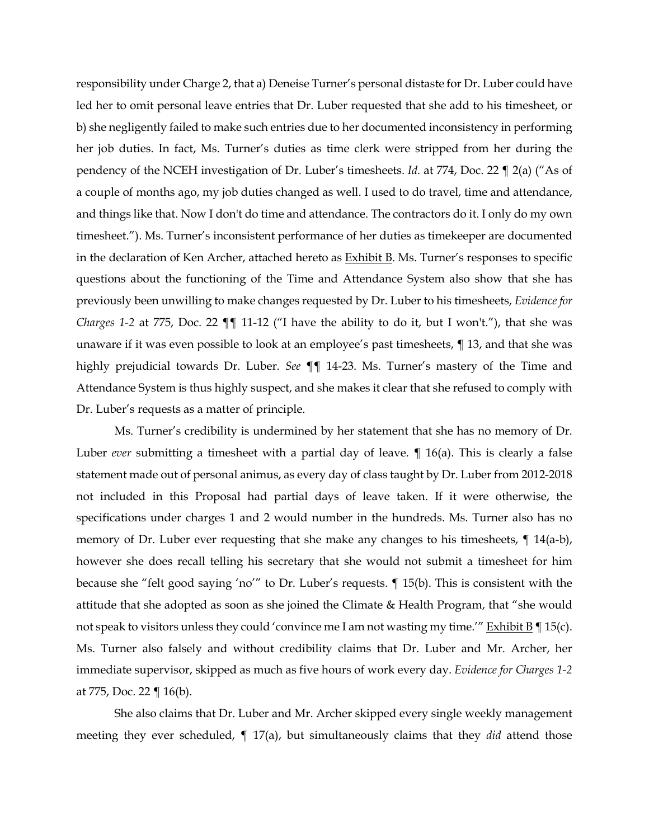responsibility under Charge 2, that a) Deneise Turner's personal distaste for Dr. Luber could have led her to omit personal leave entries that Dr. Luber requested that she add to his timesheet, or b) she negligently failed to make such entries due to her documented inconsistency in performing her job duties. In fact, Ms. Turner's duties as time clerk were stripped from her during the pendency of the NCEH investigation of Dr. Luber's timesheets. *Id.* at 774, Doc. 22 ¶ 2(a) ("As of a couple of months ago, my job duties changed as well. I used to do travel, time and attendance, and things like that. Now I don't do time and attendance. The contractors do it. I only do my own timesheet."). Ms. Turner's inconsistent performance of her duties as timekeeper are documented in the declaration of Ken Archer, attached hereto as **Exhibit B**. Ms. Turner's responses to specific questions about the functioning of the Time and Attendance System also show that she has previously been unwilling to make changes requested by Dr. Luber to his timesheets, *Evidence for Charges 1-2* at 775, Doc. 22  $\P\P$  11-12 ("I have the ability to do it, but I won't."), that she was unaware if it was even possible to look at an employee's past timesheets, ¶ 13, and that she was highly prejudicial towards Dr. Luber. *See* ¶¶ 14-23. Ms. Turner's mastery of the Time and Attendance System is thus highly suspect, and she makes it clear that she refused to comply with Dr. Luber's requests as a matter of principle.

Ms. Turner's credibility is undermined by her statement that she has no memory of Dr. Luber *ever* submitting a timesheet with a partial day of leave. ¶ 16(a). This is clearly a false statement made out of personal animus, as every day of class taught by Dr. Luber from 2012-2018 not included in this Proposal had partial days of leave taken. If it were otherwise, the specifications under charges 1 and 2 would number in the hundreds. Ms. Turner also has no memory of Dr. Luber ever requesting that she make any changes to his timesheets, ¶ 14(a-b), however she does recall telling his secretary that she would not submit a timesheet for him because she "felt good saying 'no'" to Dr. Luber's requests. ¶ 15(b). This is consistent with the attitude that she adopted as soon as she joined the Climate & Health Program, that "she would not speak to visitors unless they could 'convince me I am not wasting my time.'" Exhibit  $B \parallel 15(c)$ . Ms. Turner also falsely and without credibility claims that Dr. Luber and Mr. Archer, her immediate supervisor, skipped as much as five hours of work every day. *Evidence for Charges 1-2* at 775, Doc. 22  $\P$  16(b).

She also claims that Dr. Luber and Mr. Archer skipped every single weekly management meeting they ever scheduled, ¶ 17(a), but simultaneously claims that they *did* attend those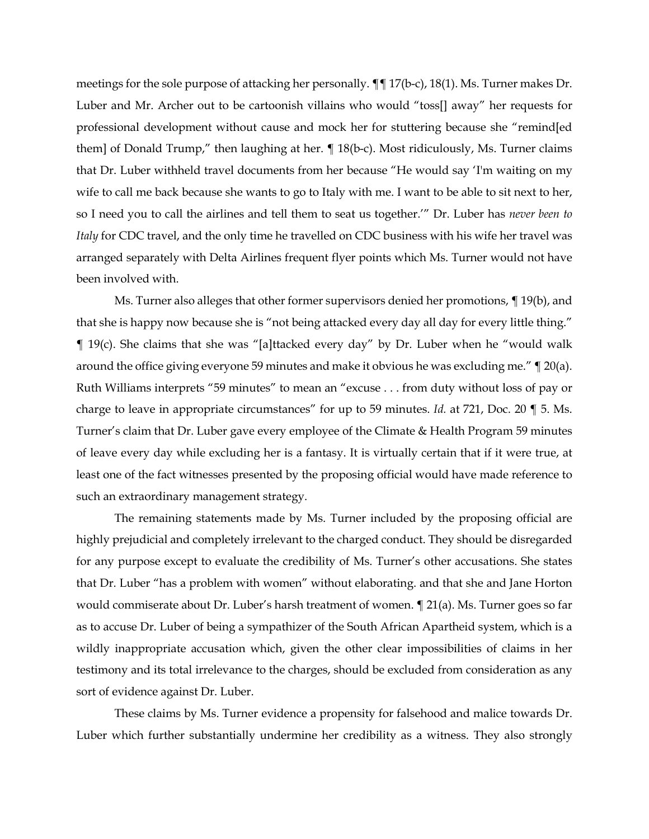meetings for the sole purpose of attacking her personally. ¶¶ 17(b-c), 18(1). Ms. Turner makes Dr. Luber and Mr. Archer out to be cartoonish villains who would "toss[] away" her requests for professional development without cause and mock her for stuttering because she "remind[ed them] of Donald Trump," then laughing at her. ¶ 18(b-c). Most ridiculously, Ms. Turner claims that Dr. Luber withheld travel documents from her because "He would say 'I'm waiting on my wife to call me back because she wants to go to Italy with me. I want to be able to sit next to her, so I need you to call the airlines and tell them to seat us together.'" Dr. Luber has *never been to Italy* for CDC travel, and the only time he travelled on CDC business with his wife her travel was arranged separately with Delta Airlines frequent flyer points which Ms. Turner would not have been involved with.

Ms. Turner also alleges that other former supervisors denied her promotions, ¶ 19(b), and that she is happy now because she is "not being attacked every day all day for every little thing." ¶ 19(c). She claims that she was "[a]ttacked every day" by Dr. Luber when he "would walk around the office giving everyone 59 minutes and make it obvious he was excluding me." ¶ 20(a). Ruth Williams interprets "59 minutes" to mean an "excuse . . . from duty without loss of pay or charge to leave in appropriate circumstances" for up to 59 minutes. *Id.* at 721, Doc. 20 ¶ 5. Ms. Turner's claim that Dr. Luber gave every employee of the Climate & Health Program 59 minutes of leave every day while excluding her is a fantasy. It is virtually certain that if it were true, at least one of the fact witnesses presented by the proposing official would have made reference to such an extraordinary management strategy.

The remaining statements made by Ms. Turner included by the proposing official are highly prejudicial and completely irrelevant to the charged conduct. They should be disregarded for any purpose except to evaluate the credibility of Ms. Turner's other accusations. She states that Dr. Luber "has a problem with women" without elaborating. and that she and Jane Horton would commiserate about Dr. Luber's harsh treatment of women. ¶ 21(a). Ms. Turner goes so far as to accuse Dr. Luber of being a sympathizer of the South African Apartheid system, which is a wildly inappropriate accusation which, given the other clear impossibilities of claims in her testimony and its total irrelevance to the charges, should be excluded from consideration as any sort of evidence against Dr. Luber.

These claims by Ms. Turner evidence a propensity for falsehood and malice towards Dr. Luber which further substantially undermine her credibility as a witness. They also strongly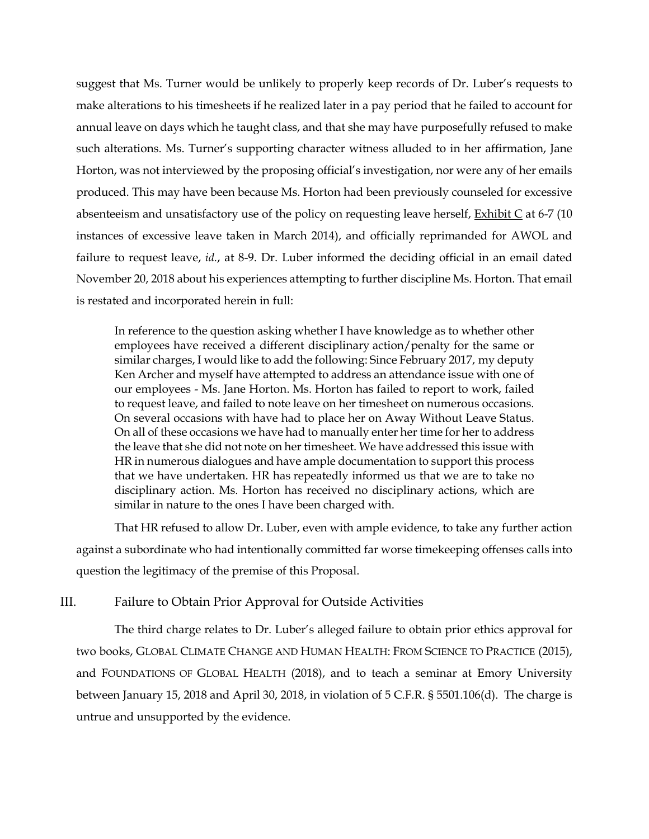suggest that Ms. Turner would be unlikely to properly keep records of Dr. Luber's requests to make alterations to his timesheets if he realized later in a pay period that he failed to account for annual leave on days which he taught class, and that she may have purposefully refused to make such alterations. Ms. Turner's supporting character witness alluded to in her affirmation, Jane Horton, was not interviewed by the proposing official's investigation, nor were any of her emails produced. This may have been because Ms. Horton had been previously counseled for excessive absenteeism and unsatisfactory use of the policy on requesting leave herself, Exhibit C at 6-7 (10 instances of excessive leave taken in March 2014), and officially reprimanded for AWOL and failure to request leave, *id.*, at 8-9. Dr. Luber informed the deciding official in an email dated November 20, 2018 about his experiences attempting to further discipline Ms. Horton. That email is restated and incorporated herein in full:

In reference to the question asking whether I have knowledge as to whether other employees have received a different disciplinary action/penalty for the same or similar charges, I would like to add the following: Since February 2017, my deputy Ken Archer and myself have attempted to address an attendance issue with one of our employees - Ms. Jane Horton. Ms. Horton has failed to report to work, failed to request leave, and failed to note leave on her timesheet on numerous occasions. On several occasions with have had to place her on Away Without Leave Status. On all of these occasions we have had to manually enter her time for her to address the leave that she did not note on her timesheet. We have addressed this issue with HR in numerous dialogues and have ample documentation to support this process that we have undertaken. HR has repeatedly informed us that we are to take no disciplinary action. Ms. Horton has received no disciplinary actions, which are similar in nature to the ones I have been charged with.

That HR refused to allow Dr. Luber, even with ample evidence, to take any further action against a subordinate who had intentionally committed far worse timekeeping offenses calls into question the legitimacy of the premise of this Proposal.

# III. Failure to Obtain Prior Approval for Outside Activities

The third charge relates to Dr. Luber's alleged failure to obtain prior ethics approval for two books, GLOBAL CLIMATE CHANGE AND HUMAN HEALTH: FROM SCIENCE TO PRACTICE (2015), and FOUNDATIONS OF GLOBAL HEALTH (2018), and to teach a seminar at Emory University between January 15, 2018 and April 30, 2018, in violation of 5 C.F.R. § 5501.106(d). The charge is untrue and unsupported by the evidence.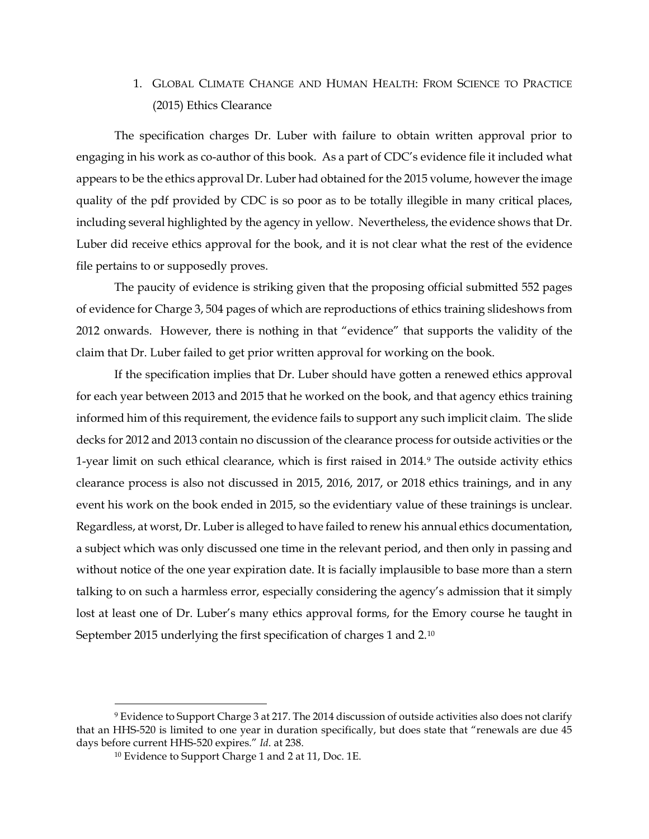# 1. GLOBAL CLIMATE CHANGE AND HUMAN HEALTH: FROM SCIENCE TO PRACTICE (2015) Ethics Clearance

The specification charges Dr. Luber with failure to obtain written approval prior to engaging in his work as co-author of this book. As a part of CDC's evidence file it included what appears to be the ethics approval Dr. Luber had obtained for the 2015 volume, however the image quality of the pdf provided by CDC is so poor as to be totally illegible in many critical places, including several highlighted by the agency in yellow. Nevertheless, the evidence shows that Dr. Luber did receive ethics approval for the book, and it is not clear what the rest of the evidence file pertains to or supposedly proves.

The paucity of evidence is striking given that the proposing official submitted 552 pages of evidence for Charge 3, 504 pages of which are reproductions of ethics training slideshows from 2012 onwards. However, there is nothing in that "evidence" that supports the validity of the claim that Dr. Luber failed to get prior written approval for working on the book.

If the specification implies that Dr. Luber should have gotten a renewed ethics approval for each year between 2013 and 2015 that he worked on the book, and that agency ethics training informed him of this requirement, the evidence fails to support any such implicit claim. The slide decks for 2012 and 2013 contain no discussion of the clearance process for outside activities or the 1-year limit on such ethical clearance, which is first raised in 2014.[9](#page-9-0) The outside activity ethics clearance process is also not discussed in 2015, 2016, 2017, or 2018 ethics trainings, and in any event his work on the book ended in 2015, so the evidentiary value of these trainings is unclear. Regardless, at worst, Dr. Luber is alleged to have failed to renew his annual ethics documentation, a subject which was only discussed one time in the relevant period, and then only in passing and without notice of the one year expiration date. It is facially implausible to base more than a stern talking to on such a harmless error, especially considering the agency's admission that it simply lost at least one of Dr. Luber's many ethics approval forms, for the Emory course he taught in September 2015 underlying the first specification of charges 1 and 2.[10](#page-9-1)

<span id="page-9-1"></span><span id="page-9-0"></span><sup>&</sup>lt;sup>9</sup> Evidence to Support Charge 3 at 217. The 2014 discussion of outside activities also does not clarify that an HHS-520 is limited to one year in duration specifically, but does state that "renewals are due 45 days before current HHS-520 expires." *Id*. at 238.

<sup>10</sup> Evidence to Support Charge 1 and 2 at 11, Doc. 1E.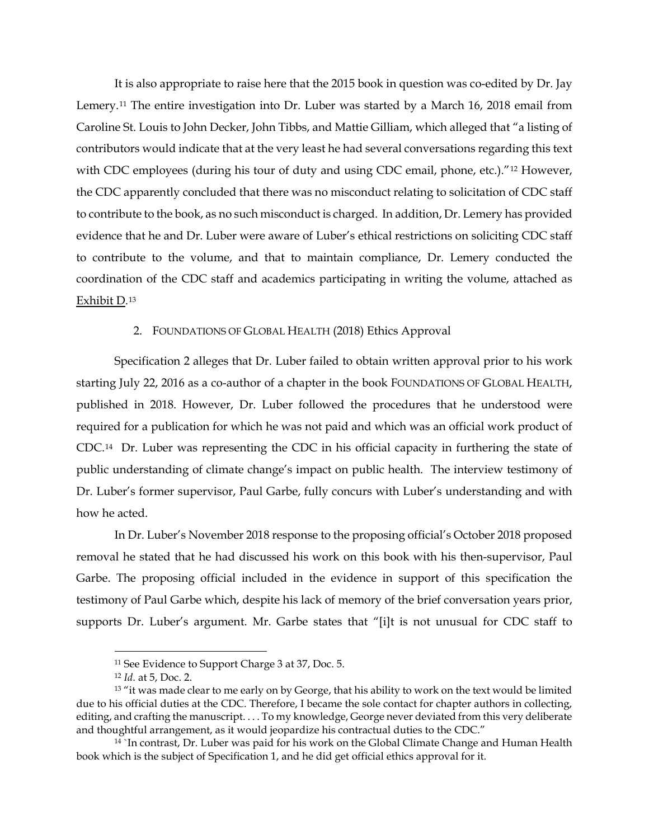It is also appropriate to raise here that the 2015 book in question was co-edited by Dr. Jay Lemery.[11](#page-10-0) The entire investigation into Dr. Luber was started by a March 16, 2018 email from Caroline St. Louis to John Decker, John Tibbs, and Mattie Gilliam, which alleged that "a listing of contributors would indicate that at the very least he had several conversations regarding this text with CDC employees (during his tour of duty and using CDC email, phone, etc.)."<sup>[12](#page-10-1)</sup> However, the CDC apparently concluded that there was no misconduct relating to solicitation of CDC staff to contribute to the book, as no such misconduct is charged. In addition, Dr. Lemery has provided evidence that he and Dr. Luber were aware of Luber's ethical restrictions on soliciting CDC staff to contribute to the volume, and that to maintain compliance, Dr. Lemery conducted the coordination of the CDC staff and academics participating in writing the volume, attached as Exhibit D.[13](#page-10-2)

## 2. FOUNDATIONS OF GLOBAL HEALTH (2018) Ethics Approval

Specification 2 alleges that Dr. Luber failed to obtain written approval prior to his work starting July 22, 2016 as a co-author of a chapter in the book FOUNDATIONS OF GLOBAL HEALTH, published in 2018. However, Dr. Luber followed the procedures that he understood were required for a publication for which he was not paid and which was an official work product of CDC.[14](#page-10-3) Dr. Luber was representing the CDC in his official capacity in furthering the state of public understanding of climate change's impact on public health. The interview testimony of Dr. Luber's former supervisor, Paul Garbe, fully concurs with Luber's understanding and with how he acted.

In Dr. Luber's November 2018 response to the proposing official's October 2018 proposed removal he stated that he had discussed his work on this book with his then-supervisor, Paul Garbe. The proposing official included in the evidence in support of this specification the testimony of Paul Garbe which, despite his lack of memory of the brief conversation years prior, supports Dr. Luber's argument. Mr. Garbe states that "[i]t is not unusual for CDC staff to

 <sup>11</sup> See Evidence to Support Charge 3 at 37, Doc. 5.

<sup>12</sup> *Id*. at 5, Doc. 2.

<span id="page-10-2"></span><span id="page-10-1"></span><span id="page-10-0"></span><sup>&</sup>lt;sup>13</sup> "it was made clear to me early on by George, that his ability to work on the text would be limited due to his official duties at the CDC. Therefore, I became the sole contact for chapter authors in collecting, editing, and crafting the manuscript. . . . To my knowledge, George never deviated from this very deliberate and thoughtful arrangement, as it would jeopardize his contractual duties to the CDC."

<span id="page-10-3"></span><sup>14</sup> `In contrast, Dr. Luber was paid for his work on the Global Climate Change and Human Health book which is the subject of Specification 1, and he did get official ethics approval for it.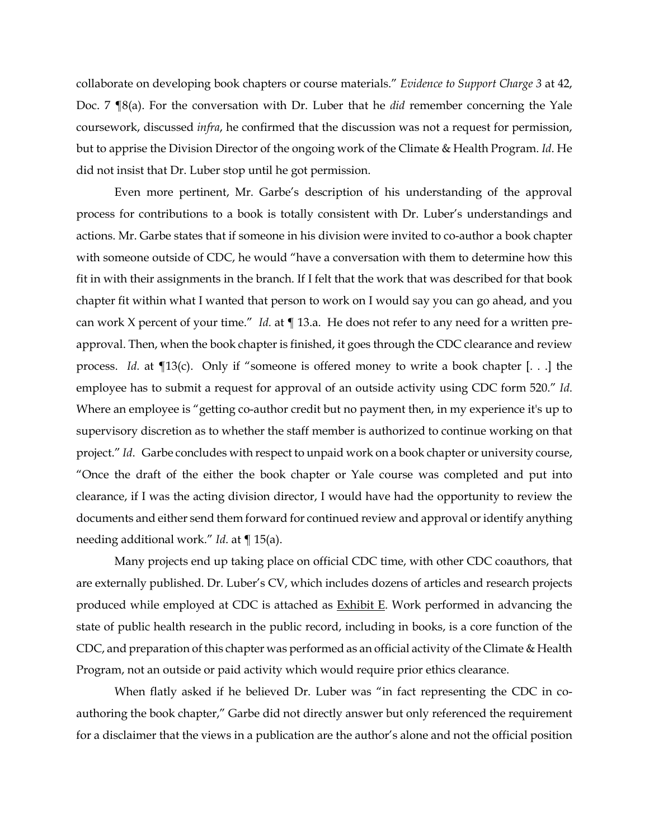collaborate on developing book chapters or course materials." *Evidence to Support Charge 3* at 42, Doc. 7 ¶8(a). For the conversation with Dr. Luber that he *did* remember concerning the Yale coursework, discussed *infra*, he confirmed that the discussion was not a request for permission, but to apprise the Division Director of the ongoing work of the Climate & Health Program. *Id*. He did not insist that Dr. Luber stop until he got permission.

Even more pertinent, Mr. Garbe's description of his understanding of the approval process for contributions to a book is totally consistent with Dr. Luber's understandings and actions. Mr. Garbe states that if someone in his division were invited to co-author a book chapter with someone outside of CDC, he would "have a conversation with them to determine how this fit in with their assignments in the branch. If I felt that the work that was described for that book chapter fit within what I wanted that person to work on I would say you can go ahead, and you can work X percent of your time." *Id.* at ¶ 13.a. He does not refer to any need for a written preapproval. Then, when the book chapter is finished, it goes through the CDC clearance and review process. *Id.* at ¶13(c). Only if "someone is offered money to write a book chapter [. . .] the employee has to submit a request for approval of an outside activity using CDC form 520." *Id*. Where an employee is "getting co-author credit but no payment then, in my experience it's up to supervisory discretion as to whether the staff member is authorized to continue working on that project." *Id*. Garbe concludes with respect to unpaid work on a book chapter or university course, "Once the draft of the either the book chapter or Yale course was completed and put into clearance, if I was the acting division director, I would have had the opportunity to review the documents and either send them forward for continued review and approval or identify anything needing additional work." *Id*. at ¶ 15(a).

Many projects end up taking place on official CDC time, with other CDC coauthors, that are externally published. Dr. Luber's CV, which includes dozens of articles and research projects produced while employed at CDC is attached as **Exhibit E**. Work performed in advancing the state of public health research in the public record, including in books, is a core function of the CDC, and preparation of this chapter was performed as an official activity of the Climate & Health Program, not an outside or paid activity which would require prior ethics clearance.

When flatly asked if he believed Dr. Luber was "in fact representing the CDC in coauthoring the book chapter," Garbe did not directly answer but only referenced the requirement for a disclaimer that the views in a publication are the author's alone and not the official position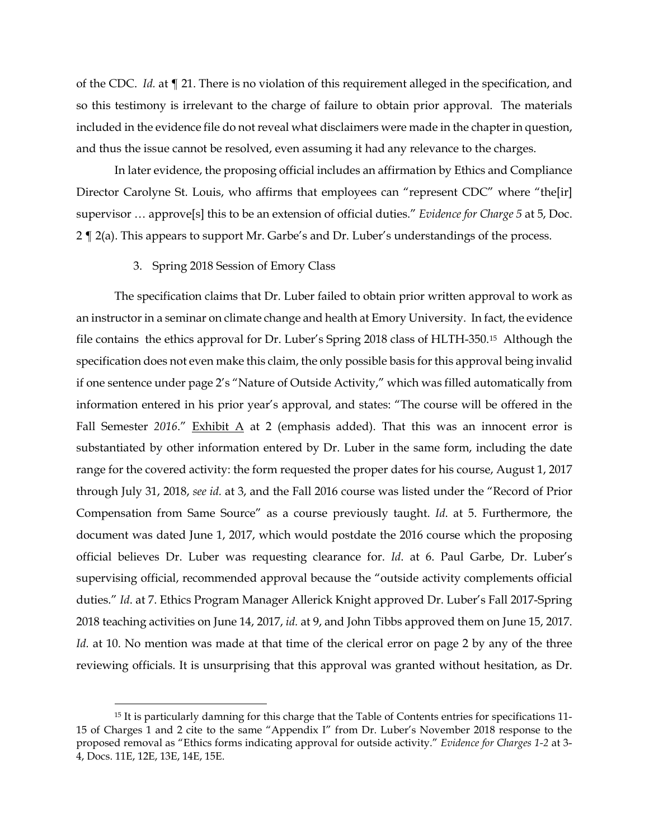of the CDC. *Id.* at ¶ 21. There is no violation of this requirement alleged in the specification, and so this testimony is irrelevant to the charge of failure to obtain prior approval. The materials included in the evidence file do not reveal what disclaimers were made in the chapter in question, and thus the issue cannot be resolved, even assuming it had any relevance to the charges.

In later evidence, the proposing official includes an affirmation by Ethics and Compliance Director Carolyne St. Louis, who affirms that employees can "represent CDC" where "the[ir] supervisor … approve[s] this to be an extension of official duties." *Evidence for Charge 5* at 5, Doc. 2 ¶ 2(a). This appears to support Mr. Garbe's and Dr. Luber's understandings of the process.

#### 3. Spring 2018 Session of Emory Class

The specification claims that Dr. Luber failed to obtain prior written approval to work as an instructor in a seminar on climate change and health at Emory University. In fact, the evidence file contains the ethics approval for Dr. Luber's Spring 2018 class of HLTH-350.[15](#page-12-0) Although the specification does not even make this claim, the only possible basis for this approval being invalid if one sentence under page 2's "Nature of Outside Activity," which was filled automatically from information entered in his prior year's approval, and states: "The course will be offered in the Fall Semester 2016." Exhibit A at 2 (emphasis added). That this was an innocent error is substantiated by other information entered by Dr. Luber in the same form, including the date range for the covered activity: the form requested the proper dates for his course, August 1, 2017 through July 31, 2018, *see id.* at 3, and the Fall 2016 course was listed under the "Record of Prior Compensation from Same Source" as a course previously taught. *Id*. at 5. Furthermore, the document was dated June 1, 2017, which would postdate the 2016 course which the proposing official believes Dr. Luber was requesting clearance for. *Id*. at 6. Paul Garbe, Dr. Luber's supervising official, recommended approval because the "outside activity complements official duties." *Id*. at 7. Ethics Program Manager Allerick Knight approved Dr. Luber's Fall 2017-Spring 2018 teaching activities on June 14, 2017, *id.* at 9, and John Tibbs approved them on June 15, 2017. *Id.* at 10. No mention was made at that time of the clerical error on page 2 by any of the three reviewing officials. It is unsurprising that this approval was granted without hesitation, as Dr.

<span id="page-12-0"></span><sup>&</sup>lt;sup>15</sup> It is particularly damning for this charge that the Table of Contents entries for specifications 11-15 of Charges 1 and 2 cite to the same "Appendix I" from Dr. Luber's November 2018 response to the proposed removal as "Ethics forms indicating approval for outside activity." *Evidence for Charges 1-2* at 3- 4, Docs. 11E, 12E, 13E, 14E, 15E.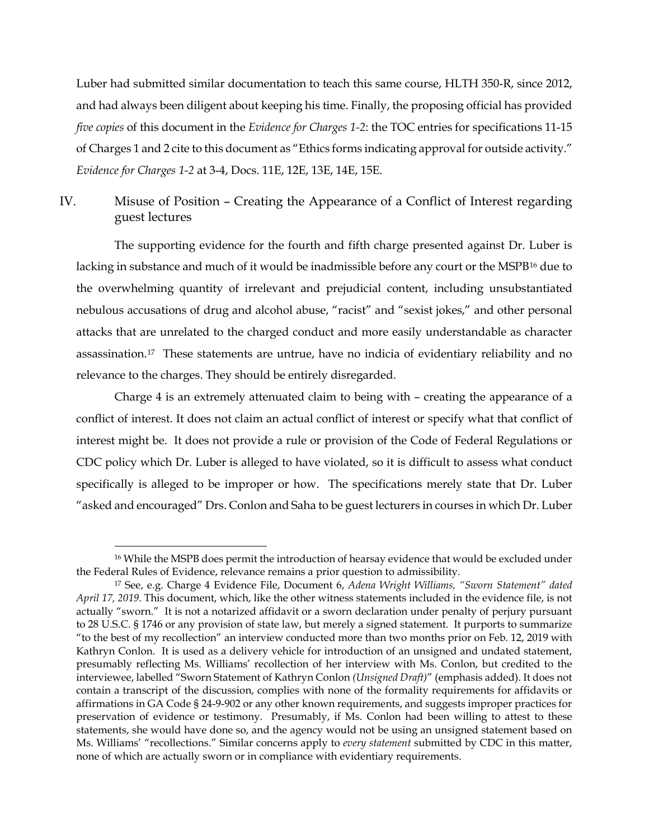Luber had submitted similar documentation to teach this same course, HLTH 350-R, since 2012, and had always been diligent about keeping his time. Finally, the proposing official has provided *five copies* of this document in the *Evidence for Charges 1-2*: the TOC entries for specifications 11-15 of Charges 1 and 2 cite to this document as "Ethics forms indicating approval for outside activity." *Evidence for Charges 1-2* at 3-4, Docs. 11E, 12E, 13E, 14E, 15E.

IV. Misuse of Position – Creating the Appearance of a Conflict of Interest regarding guest lectures

The supporting evidence for the fourth and fifth charge presented against Dr. Luber is lacking in substance and much of it would be inadmissible before any court or the MSPB<sup>[16](#page-13-0)</sup> due to the overwhelming quantity of irrelevant and prejudicial content, including unsubstantiated nebulous accusations of drug and alcohol abuse, "racist" and "sexist jokes," and other personal attacks that are unrelated to the charged conduct and more easily understandable as character assassination.[17](#page-13-1) These statements are untrue, have no indicia of evidentiary reliability and no relevance to the charges. They should be entirely disregarded.

Charge 4 is an extremely attenuated claim to being with – creating the appearance of a conflict of interest. It does not claim an actual conflict of interest or specify what that conflict of interest might be. It does not provide a rule or provision of the Code of Federal Regulations or CDC policy which Dr. Luber is alleged to have violated, so it is difficult to assess what conduct specifically is alleged to be improper or how. The specifications merely state that Dr. Luber "asked and encouraged" Drs. Conlon and Saha to be guest lecturers in courses in which Dr. Luber

<span id="page-13-0"></span><sup>&</sup>lt;sup>16</sup> While the MSPB does permit the introduction of hearsay evidence that would be excluded under the Federal Rules of Evidence, relevance remains a prior question to admissibility.

<span id="page-13-1"></span><sup>17</sup> See, e.g. Charge 4 Evidence File, Document 6, *Adena Wright Williams, "Sworn Statement" dated April 17, 2019*. This document, which, like the other witness statements included in the evidence file, is not actually "sworn." It is not a notarized affidavit or a sworn declaration under penalty of perjury pursuant to 28 U.S.C. § 1746 or any provision of state law, but merely a signed statement. It purports to summarize "to the best of my recollection" an interview conducted more than two months prior on Feb. 12, 2019 with Kathryn Conlon. It is used as a delivery vehicle for introduction of an unsigned and undated statement, presumably reflecting Ms. Williams' recollection of her interview with Ms. Conlon, but credited to the interviewee, labelled "Sworn Statement of Kathryn Conlon *(Unsigned Draft)*" (emphasis added). It does not contain a transcript of the discussion, complies with none of the formality requirements for affidavits or affirmations in GA Code § 24-9-902 or any other known requirements, and suggests improper practices for preservation of evidence or testimony. Presumably, if Ms. Conlon had been willing to attest to these statements, she would have done so, and the agency would not be using an unsigned statement based on Ms. Williams' "recollections." Similar concerns apply to *every statement* submitted by CDC in this matter, none of which are actually sworn or in compliance with evidentiary requirements.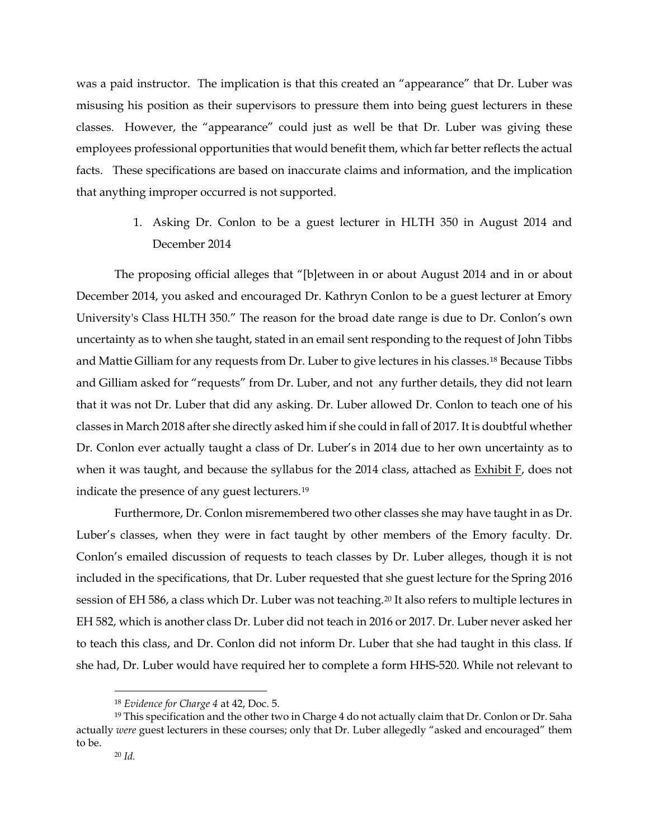was a paid instructor. The implication is that this created an "appearance" that Dr. Luber was misusing his position as their supervisors to pressure them into being guest lecturers in these classes. However, the "appearance" could just as well be that Dr. Luber was giving these employees professional opportunities that would benefit them, which far better reflects the actual facts. These specifications are based on inaccurate claims and information, and the implication that anything improper occurred is not supported.

> 1. Asking Dr. Conlon to be a guest lecturer in HLTH 350 in August 2014 and December 2014

The proposing official alleges that "[b]etween in or about August 2014 and in or about December 2014, you asked and encouraged Dr. Kathryn Conlon to be a guest lecturer at Emory University's Class HLTH 350." The reason for the broad date range is due to Dr. Conlon's own uncertainty as to when she taught, stated in an email sent responding to the request of John Tibbs and Mattie Gilliam for any requests from Dr. Luber to give lectures in his classes.[18](#page-14-0) Because Tibbs and Gilliam asked for "requests" from Dr. Luber, and not any further details, they did not learn that it was not Dr. Luber that did any asking. Dr. Luber allowed Dr. Conlon to teach one of his classes in March 2018 after she directly asked him if she could in fall of 2017. It is doubtful whether Dr. Conlon ever actually taught a class of Dr. Luber's in 2014 due to her own uncertainty as to when it was taught, and because the syllabus for the 2014 class, attached as  $Exhibit F$ , does not indicate the presence of any guest lecturers.[19](#page-14-1)

Furthermore, Dr. Conlon misremembered two other classes she may have taught in as Dr. Luber's classes, when they were in fact taught by other members of the Emory faculty. Dr. Conlon's emailed discussion of requests to teach classes by Dr. Luber alleges, though it is not included in the specifications, that Dr. Luber requested that she guest lecture for the Spring 2016 session of EH 586, a class which Dr. Luber was not teaching.[20](#page-14-2) It also refers to multiple lectures in EH 582, which is another class Dr. Luber did not teach in 2016 or 2017. Dr. Luber never asked her to teach this class, and Dr. Conlon did not inform Dr. Luber that she had taught in this class. If she had, Dr. Luber would have required her to complete a form HHS-520. While not relevant to

 <sup>18</sup> *Evidence for Charge 4* at 42, Doc. 5.

<span id="page-14-2"></span><span id="page-14-1"></span><span id="page-14-0"></span><sup>&</sup>lt;sup>19</sup> This specification and the other two in Charge 4 do not actually claim that Dr. Conlon or Dr. Saha actually *were* guest lecturers in these courses; only that Dr. Luber allegedly "asked and encouraged" them to be.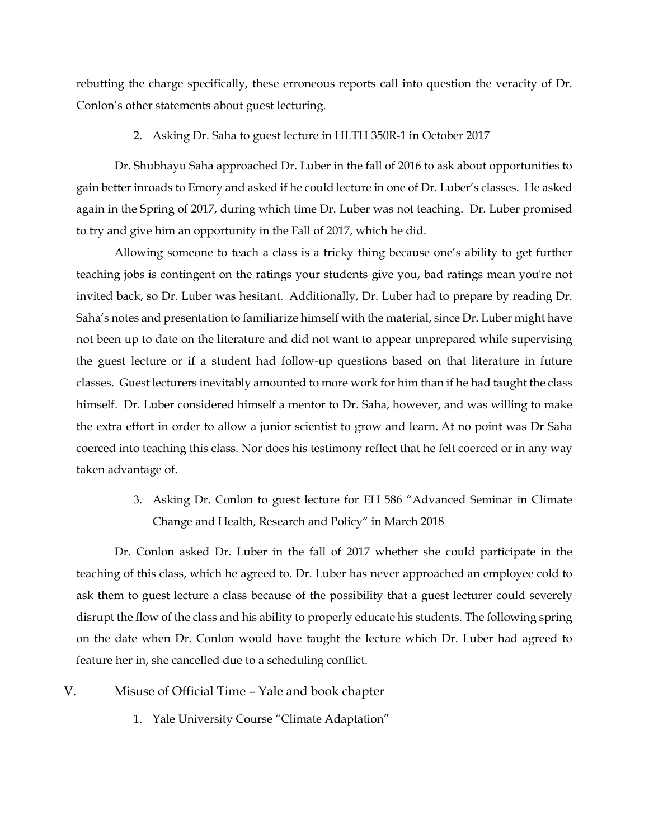rebutting the charge specifically, these erroneous reports call into question the veracity of Dr. Conlon's other statements about guest lecturing.

## 2. Asking Dr. Saha to guest lecture in HLTH 350R-1 in October 2017

Dr. Shubhayu Saha approached Dr. Luber in the fall of 2016 to ask about opportunities to gain better inroads to Emory and asked if he could lecture in one of Dr. Luber's classes. He asked again in the Spring of 2017, during which time Dr. Luber was not teaching. Dr. Luber promised to try and give him an opportunity in the Fall of 2017, which he did.

Allowing someone to teach a class is a tricky thing because one's ability to get further teaching jobs is contingent on the ratings your students give you, bad ratings mean you're not invited back, so Dr. Luber was hesitant. Additionally, Dr. Luber had to prepare by reading Dr. Saha's notes and presentation to familiarize himself with the material, since Dr. Luber might have not been up to date on the literature and did not want to appear unprepared while supervising the guest lecture or if a student had follow-up questions based on that literature in future classes. Guest lecturers inevitably amounted to more work for him than if he had taught the class himself. Dr. Luber considered himself a mentor to Dr. Saha, however, and was willing to make the extra effort in order to allow a junior scientist to grow and learn. At no point was Dr Saha coerced into teaching this class. Nor does his testimony reflect that he felt coerced or in any way taken advantage of.

> 3. Asking Dr. Conlon to guest lecture for EH 586 "Advanced Seminar in Climate Change and Health, Research and Policy" in March 2018

Dr. Conlon asked Dr. Luber in the fall of 2017 whether she could participate in the teaching of this class, which he agreed to. Dr. Luber has never approached an employee cold to ask them to guest lecture a class because of the possibility that a guest lecturer could severely disrupt the flow of the class and his ability to properly educate his students. The following spring on the date when Dr. Conlon would have taught the lecture which Dr. Luber had agreed to feature her in, she cancelled due to a scheduling conflict.

- V. Misuse of Official Time Yale and book chapter
	- 1. Yale University Course "Climate Adaptation"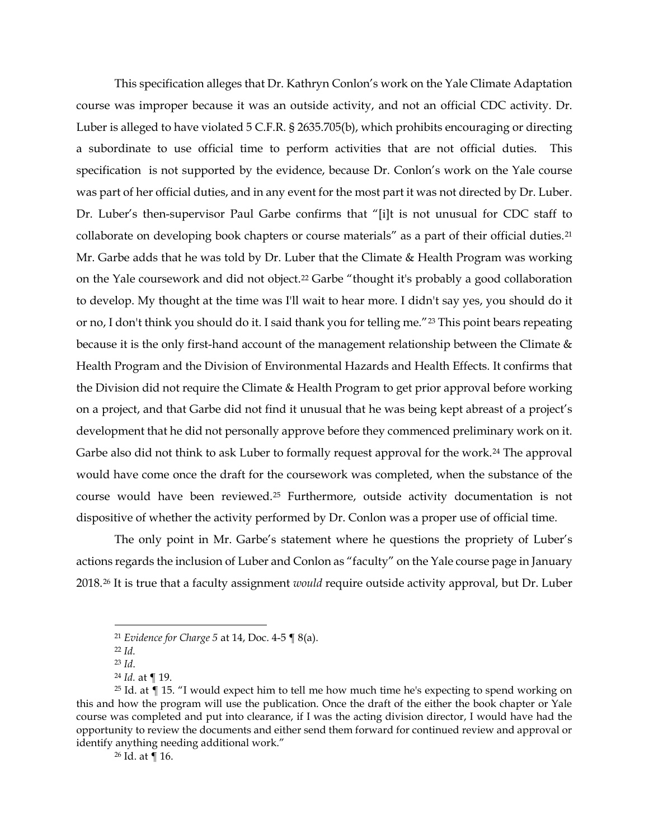This specification alleges that Dr. Kathryn Conlon's work on the Yale Climate Adaptation course was improper because it was an outside activity, and not an official CDC activity. Dr. Luber is alleged to have violated 5 C.F.R. § 2635.705(b), which prohibits encouraging or directing a subordinate to use official time to perform activities that are not official duties. This specification is not supported by the evidence, because Dr. Conlon's work on the Yale course was part of her official duties, and in any event for the most part it was not directed by Dr. Luber. Dr. Luber's then-supervisor Paul Garbe confirms that "[i]t is not unusual for CDC staff to collaborate on developing book chapters or course materials" as a part of their official duties.<sup>[21](#page-16-0)</sup> Mr. Garbe adds that he was told by Dr. Luber that the Climate & Health Program was working on the Yale coursework and did not object.<sup>[22](#page-16-1)</sup> Garbe "thought it's probably a good collaboration to develop. My thought at the time was I'll wait to hear more. I didn't say yes, you should do it or no, I don't think you should do it. I said thank you for telling me."[23](#page-16-2) This point bears repeating because it is the only first-hand account of the management relationship between the Climate & Health Program and the Division of Environmental Hazards and Health Effects. It confirms that the Division did not require the Climate & Health Program to get prior approval before working on a project, and that Garbe did not find it unusual that he was being kept abreast of a project's development that he did not personally approve before they commenced preliminary work on it. Garbe also did not think to ask Luber to formally request approval for the work.<sup>[24](#page-16-3)</sup> The approval would have come once the draft for the coursework was completed, when the substance of the course would have been reviewed.[25](#page-16-4) Furthermore, outside activity documentation is not dispositive of whether the activity performed by Dr. Conlon was a proper use of official time.

The only point in Mr. Garbe's statement where he questions the propriety of Luber's actions regards the inclusion of Luber and Conlon as "faculty" on the Yale course page in January 2018.[26](#page-16-5) It is true that a faculty assignment *would* require outside activity approval, but Dr. Luber

 <sup>21</sup> *Evidence for Charge 5* at 14, Doc. 4-5 ¶ 8(a).

<sup>22</sup> *Id.*

<sup>23</sup> *Id*. 24 *Id.* at ¶ 19.

<span id="page-16-5"></span><span id="page-16-4"></span><span id="page-16-3"></span><span id="page-16-2"></span><span id="page-16-1"></span><span id="page-16-0"></span><sup>&</sup>lt;sup>25</sup> Id. at  $\P$  15. "I would expect him to tell me how much time he's expecting to spend working on this and how the program will use the publication. Once the draft of the either the book chapter or Yale course was completed and put into clearance, if I was the acting division director, I would have had the opportunity to review the documents and either send them forward for continued review and approval or identify anything needing additional work."

<sup>26</sup> Id. at ¶ 16.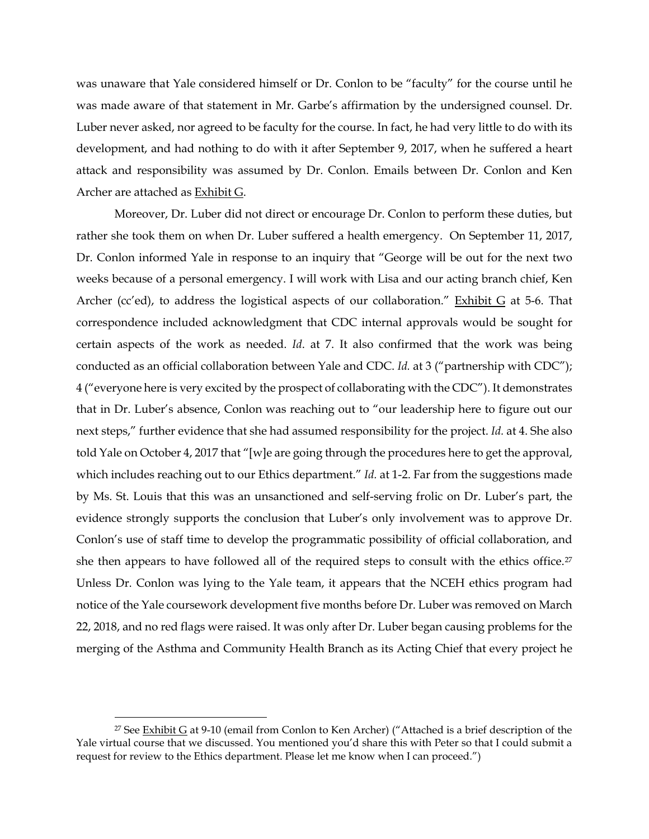was unaware that Yale considered himself or Dr. Conlon to be "faculty" for the course until he was made aware of that statement in Mr. Garbe's affirmation by the undersigned counsel. Dr. Luber never asked, nor agreed to be faculty for the course. In fact, he had very little to do with its development, and had nothing to do with it after September 9, 2017, when he suffered a heart attack and responsibility was assumed by Dr. Conlon. Emails between Dr. Conlon and Ken Archer are attached as Exhibit G.

Moreover, Dr. Luber did not direct or encourage Dr. Conlon to perform these duties, but rather she took them on when Dr. Luber suffered a health emergency. On September 11, 2017, Dr. Conlon informed Yale in response to an inquiry that "George will be out for the next two weeks because of a personal emergency. I will work with Lisa and our acting branch chief, Ken Archer (cc'ed), to address the logistical aspects of our collaboration." Exhibit G at 5-6. That correspondence included acknowledgment that CDC internal approvals would be sought for certain aspects of the work as needed. *Id*. at 7. It also confirmed that the work was being conducted as an official collaboration between Yale and CDC. *Id.* at 3 ("partnership with CDC"); 4 ("everyone here is very excited by the prospect of collaborating with the CDC"). It demonstrates that in Dr. Luber's absence, Conlon was reaching out to "our leadership here to figure out our next steps," further evidence that she had assumed responsibility for the project. *Id.* at 4. She also told Yale on October 4, 2017 that "[w]e are going through the procedures here to get the approval, which includes reaching out to our Ethics department." *Id.* at 1-2. Far from the suggestions made by Ms. St. Louis that this was an unsanctioned and self-serving frolic on Dr. Luber's part, the evidence strongly supports the conclusion that Luber's only involvement was to approve Dr. Conlon's use of staff time to develop the programmatic possibility of official collaboration, and she then appears to have followed all of the required steps to consult with the ethics office.<sup>[27](#page-17-0)</sup> Unless Dr. Conlon was lying to the Yale team, it appears that the NCEH ethics program had notice of the Yale coursework development five months before Dr. Luber was removed on March 22, 2018, and no red flags were raised. It was only after Dr. Luber began causing problems for the merging of the Asthma and Community Health Branch as its Acting Chief that every project he

<span id="page-17-0"></span><sup>&</sup>lt;sup>27</sup> See **Exhibit G** at 9-10 (email from Conlon to Ken Archer) ("Attached is a brief description of the Yale virtual course that we discussed. You mentioned you'd share this with Peter so that I could submit a request for review to the Ethics department. Please let me know when I can proceed.")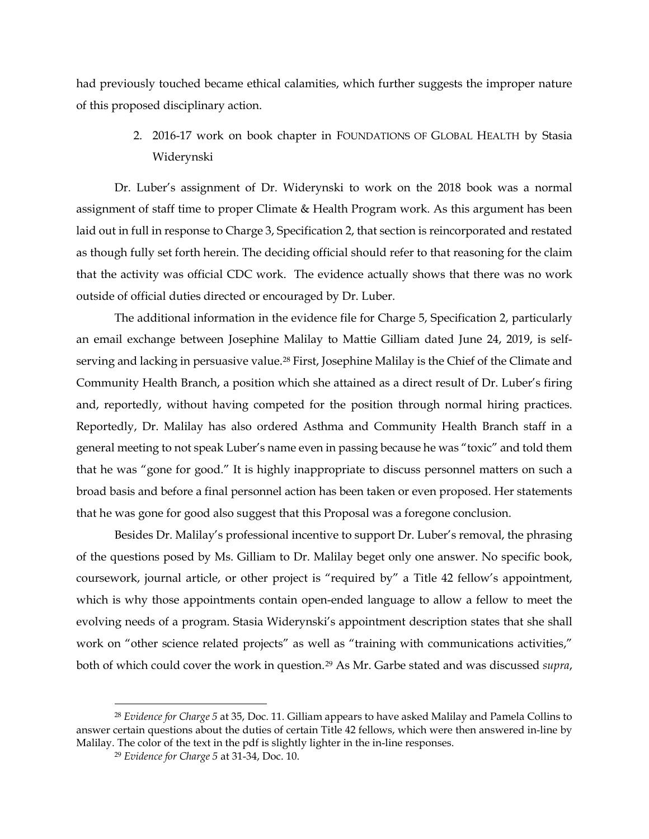had previously touched became ethical calamities, which further suggests the improper nature of this proposed disciplinary action.

> 2. 2016-17 work on book chapter in FOUNDATIONS OF GLOBAL HEALTH by Stasia Widerynski

Dr. Luber's assignment of Dr. Widerynski to work on the 2018 book was a normal assignment of staff time to proper Climate & Health Program work. As this argument has been laid out in full in response to Charge 3, Specification 2, that section is reincorporated and restated as though fully set forth herein. The deciding official should refer to that reasoning for the claim that the activity was official CDC work. The evidence actually shows that there was no work outside of official duties directed or encouraged by Dr. Luber.

The additional information in the evidence file for Charge 5, Specification 2, particularly an email exchange between Josephine Malilay to Mattie Gilliam dated June 24, 2019, is self-serving and lacking in persuasive value.<sup>[28](#page-18-0)</sup> First, Josephine Malilay is the Chief of the Climate and Community Health Branch, a position which she attained as a direct result of Dr. Luber's firing and, reportedly, without having competed for the position through normal hiring practices. Reportedly, Dr. Malilay has also ordered Asthma and Community Health Branch staff in a general meeting to not speak Luber's name even in passing because he was "toxic" and told them that he was "gone for good." It is highly inappropriate to discuss personnel matters on such a broad basis and before a final personnel action has been taken or even proposed. Her statements that he was gone for good also suggest that this Proposal was a foregone conclusion.

Besides Dr. Malilay's professional incentive to support Dr. Luber's removal, the phrasing of the questions posed by Ms. Gilliam to Dr. Malilay beget only one answer. No specific book, coursework, journal article, or other project is "required by" a Title 42 fellow's appointment, which is why those appointments contain open-ended language to allow a fellow to meet the evolving needs of a program. Stasia Widerynski's appointment description states that she shall work on "other science related projects" as well as "training with communications activities," both of which could cover the work in question.[29](#page-18-1) As Mr. Garbe stated and was discussed *supra*,

<span id="page-18-1"></span><span id="page-18-0"></span> <sup>28</sup> *Evidence for Charge 5* at 35, Doc. 11. Gilliam appears to have asked Malilay and Pamela Collins to answer certain questions about the duties of certain Title 42 fellows, which were then answered in-line by Malilay. The color of the text in the pdf is slightly lighter in the in-line responses.

<sup>29</sup> *Evidence for Charge 5* at 31-34, Doc. 10.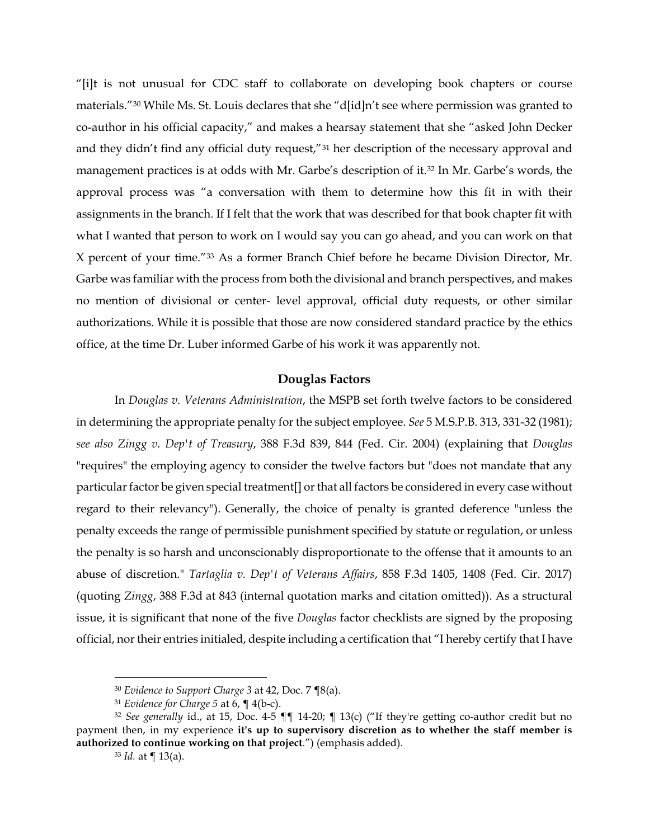"[i]t is not unusual for CDC staff to collaborate on developing book chapters or course materials."[30](#page-19-0) While Ms. St. Louis declares that she "d[id]n't see where permission was granted to co-author in his official capacity," and makes a hearsay statement that she "asked John Decker and they didn't find any official duty request,"[31](#page-19-1) her description of the necessary approval and management practices is at odds with Mr. Garbe's description of it.[32](#page-19-2) In Mr. Garbe's words, the approval process was "a conversation with them to determine how this fit in with their assignments in the branch. If I felt that the work that was described for that book chapter fit with what I wanted that person to work on I would say you can go ahead, and you can work on that X percent of your time."[33](#page-19-3) As a former Branch Chief before he became Division Director, Mr. Garbe was familiar with the process from both the divisional and branch perspectives, and makes no mention of divisional or center- level approval, official duty requests, or other similar authorizations. While it is possible that those are now considered standard practice by the ethics office, at the time Dr. Luber informed Garbe of his work it was apparently not.

# **Douglas Factors**

In *Douglas v. Veterans Administration*, the MSPB set forth twelve factors to be considered in determining the appropriate penalty for the subject employee. *See* 5 M.S.P.B. 313, 331-32 (1981); *see also Zingg v. Dep't of Treasury*, 388 F.3d 839, 844 (Fed. Cir. 2004) (explaining that *Douglas* "requires" the employing agency to consider the twelve factors but "does not mandate that any particular factor be given special treatment[] or that all factors be considered in every case without regard to their relevancy"). Generally, the choice of penalty is granted deference "unless the penalty exceeds the range of permissible punishment specified by statute or regulation, or unless the penalty is so harsh and unconscionably disproportionate to the offense that it amounts to an abuse of discretion." *Tartaglia v. Dep't of Veterans Affairs*, 858 F.3d 1405, 1408 (Fed. Cir. 2017) (quoting *Zingg*, 388 F.3d at 843 (internal quotation marks and citation omitted)). As a structural issue, it is significant that none of the five *Douglas* factor checklists are signed by the proposing official, nor their entries initialed, despite including a certification that "I hereby certify that I have

 <sup>30</sup> *Evidence to Support Charge 3* at 42, Doc. 7 ¶8(a).

<sup>31</sup> *Evidence for Charge 5* at 6, ¶ 4(b-c).

<span id="page-19-3"></span><span id="page-19-2"></span><span id="page-19-1"></span><span id="page-19-0"></span><sup>32</sup> *See generally* id., at 15, Doc. 4-5 ¶¶ 14-20; ¶ 13(c) ("If they're getting co-author credit but no payment then, in my experience **it's up to supervisory discretion as to whether the staff member is authorized to continue working on that project**.") (emphasis added).

<sup>33</sup> *Id.* at ¶ 13(a).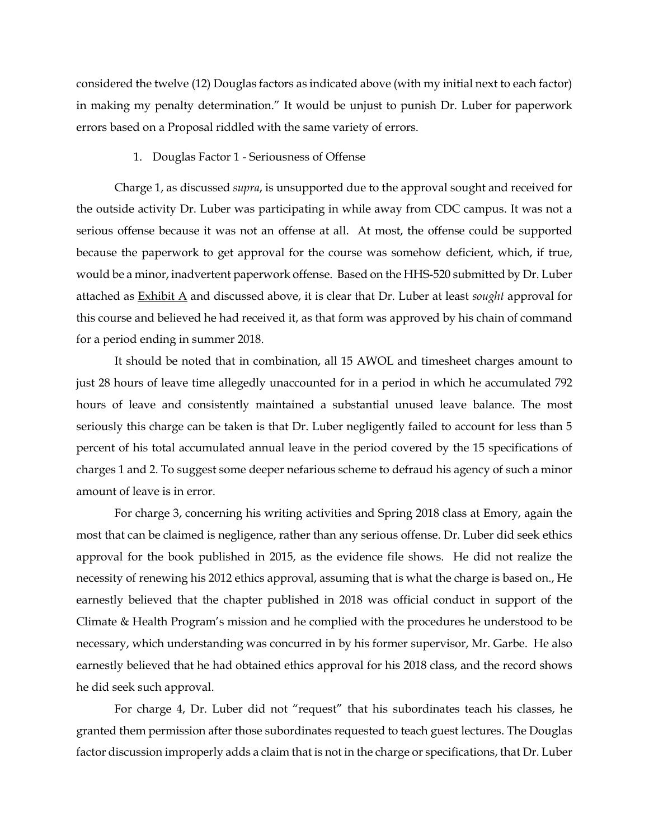considered the twelve (12) Douglas factors as indicated above (with my initial next to each factor) in making my penalty determination." It would be unjust to punish Dr. Luber for paperwork errors based on a Proposal riddled with the same variety of errors.

# 1. Douglas Factor 1 - Seriousness of Offense

Charge 1, as discussed *supra*, is unsupported due to the approval sought and received for the outside activity Dr. Luber was participating in while away from CDC campus. It was not a serious offense because it was not an offense at all. At most, the offense could be supported because the paperwork to get approval for the course was somehow deficient, which, if true, would be a minor, inadvertent paperwork offense. Based on the HHS-520 submitted by Dr. Luber attached as Exhibit A and discussed above, it is clear that Dr. Luber at least *sought* approval for this course and believed he had received it, as that form was approved by his chain of command for a period ending in summer 2018.

It should be noted that in combination, all 15 AWOL and timesheet charges amount to just 28 hours of leave time allegedly unaccounted for in a period in which he accumulated 792 hours of leave and consistently maintained a substantial unused leave balance. The most seriously this charge can be taken is that Dr. Luber negligently failed to account for less than 5 percent of his total accumulated annual leave in the period covered by the 15 specifications of charges 1 and 2. To suggest some deeper nefarious scheme to defraud his agency of such a minor amount of leave is in error.

For charge 3, concerning his writing activities and Spring 2018 class at Emory, again the most that can be claimed is negligence, rather than any serious offense. Dr. Luber did seek ethics approval for the book published in 2015, as the evidence file shows. He did not realize the necessity of renewing his 2012 ethics approval, assuming that is what the charge is based on., He earnestly believed that the chapter published in 2018 was official conduct in support of the Climate & Health Program's mission and he complied with the procedures he understood to be necessary, which understanding was concurred in by his former supervisor, Mr. Garbe. He also earnestly believed that he had obtained ethics approval for his 2018 class, and the record shows he did seek such approval.

For charge 4, Dr. Luber did not "request" that his subordinates teach his classes, he granted them permission after those subordinates requested to teach guest lectures. The Douglas factor discussion improperly adds a claim that is not in the charge or specifications, that Dr. Luber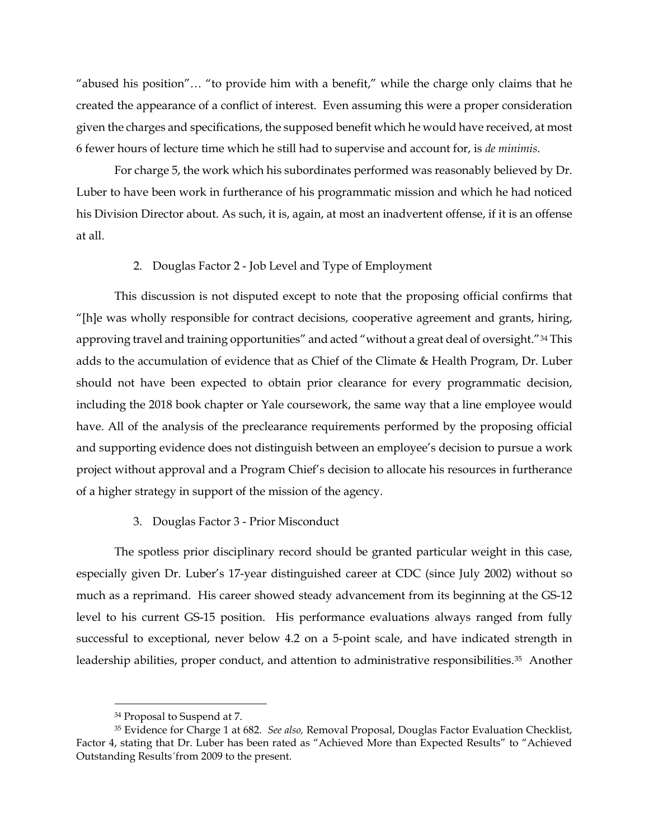"abused his position"… "to provide him with a benefit," while the charge only claims that he created the appearance of a conflict of interest. Even assuming this were a proper consideration given the charges and specifications, the supposed benefit which he would have received, at most 6 fewer hours of lecture time which he still had to supervise and account for, is *de minimis*.

For charge 5, the work which his subordinates performed was reasonably believed by Dr. Luber to have been work in furtherance of his programmatic mission and which he had noticed his Division Director about. As such, it is, again, at most an inadvertent offense, if it is an offense at all.

# 2. Douglas Factor 2 - Job Level and Type of Employment

This discussion is not disputed except to note that the proposing official confirms that "[h]e was wholly responsible for contract decisions, cooperative agreement and grants, hiring, approving travel and training opportunities" and acted "without a great deal of oversight."<sup>[34](#page-21-0)</sup> This adds to the accumulation of evidence that as Chief of the Climate & Health Program, Dr. Luber should not have been expected to obtain prior clearance for every programmatic decision, including the 2018 book chapter or Yale coursework, the same way that a line employee would have. All of the analysis of the preclearance requirements performed by the proposing official and supporting evidence does not distinguish between an employee's decision to pursue a work project without approval and a Program Chief's decision to allocate his resources in furtherance of a higher strategy in support of the mission of the agency.

#### 3. Douglas Factor 3 - Prior Misconduct

The spotless prior disciplinary record should be granted particular weight in this case, especially given Dr. Luber's 17-year distinguished career at CDC (since July 2002) without so much as a reprimand. His career showed steady advancement from its beginning at the GS-12 level to his current GS-15 position. His performance evaluations always ranged from fully successful to exceptional, never below 4.2 on a 5-point scale, and have indicated strength in leadership abilities, proper conduct, and attention to administrative responsibilities. $35$  Another

 <sup>34</sup> Proposal to Suspend at 7.

<span id="page-21-1"></span><span id="page-21-0"></span><sup>35</sup> Evidence for Charge 1 at 682. *See also,* Removal Proposal, Douglas Factor Evaluation Checklist, Factor 4, stating that Dr. Luber has been rated as "Achieved More than Expected Results" to "Achieved Outstanding Results´from 2009 to the present.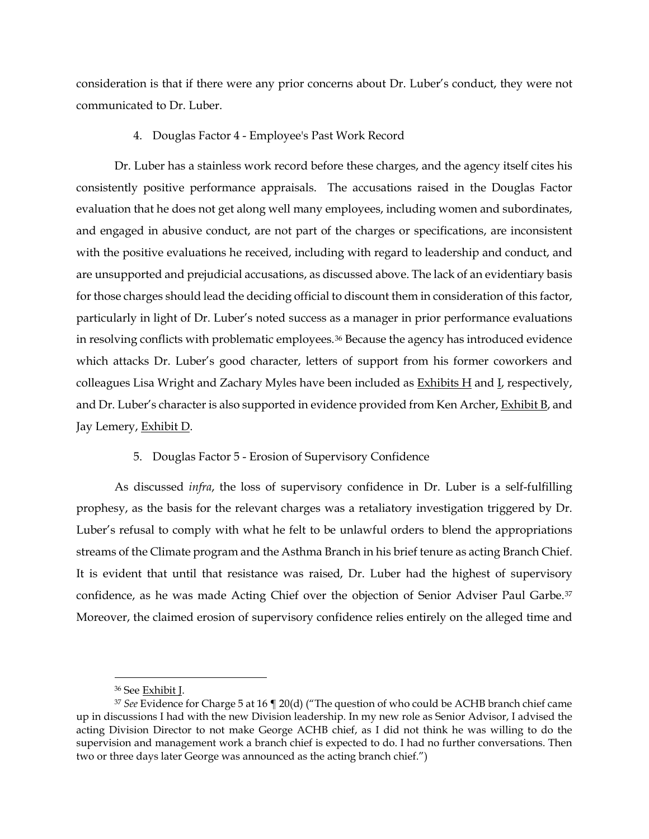consideration is that if there were any prior concerns about Dr. Luber's conduct, they were not communicated to Dr. Luber.

4. Douglas Factor 4 - Employee's Past Work Record

Dr. Luber has a stainless work record before these charges, and the agency itself cites his consistently positive performance appraisals. The accusations raised in the Douglas Factor evaluation that he does not get along well many employees, including women and subordinates, and engaged in abusive conduct, are not part of the charges or specifications, are inconsistent with the positive evaluations he received, including with regard to leadership and conduct, and are unsupported and prejudicial accusations, as discussed above. The lack of an evidentiary basis for those charges should lead the deciding official to discount them in consideration of this factor, particularly in light of Dr. Luber's noted success as a manager in prior performance evaluations in resolving conflicts with problematic employees.[36](#page-22-0) Because the agency has introduced evidence which attacks Dr. Luber's good character, letters of support from his former coworkers and colleagues Lisa Wright and Zachary Myles have been included as  $Exhibits H$  and  $L$ , respectively, and Dr. Luber's character is also supported in evidence provided from Ken Archer, Exhibit B, and Jay Lemery, Exhibit D.

# 5. Douglas Factor 5 - Erosion of Supervisory Confidence

As discussed *infra*, the loss of supervisory confidence in Dr. Luber is a self-fulfilling prophesy, as the basis for the relevant charges was a retaliatory investigation triggered by Dr. Luber's refusal to comply with what he felt to be unlawful orders to blend the appropriations streams of the Climate program and the Asthma Branch in his brief tenure as acting Branch Chief. It is evident that until that resistance was raised, Dr. Luber had the highest of supervisory confidence, as he was made Acting Chief over the objection of Senior Adviser Paul Garbe.[37](#page-22-1) Moreover, the claimed erosion of supervisory confidence relies entirely on the alleged time and

 <sup>36</sup> See Exhibit J.

<span id="page-22-1"></span><span id="page-22-0"></span><sup>37</sup> *See* Evidence for Charge 5 at 16 ¶ 20(d) ("The question of who could be ACHB branch chief came up in discussions I had with the new Division leadership. In my new role as Senior Advisor, I advised the acting Division Director to not make George ACHB chief, as I did not think he was willing to do the supervision and management work a branch chief is expected to do. I had no further conversations. Then two or three days later George was announced as the acting branch chief.")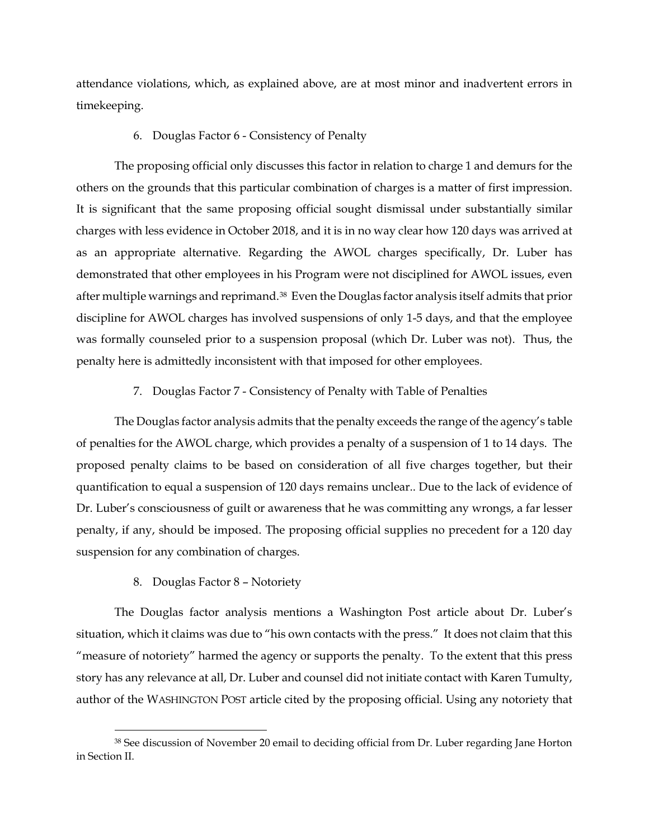attendance violations, which, as explained above, are at most minor and inadvertent errors in timekeeping.

# 6. Douglas Factor 6 - Consistency of Penalty

The proposing official only discusses this factor in relation to charge 1 and demurs for the others on the grounds that this particular combination of charges is a matter of first impression. It is significant that the same proposing official sought dismissal under substantially similar charges with less evidence in October 2018, and it is in no way clear how 120 days was arrived at as an appropriate alternative. Regarding the AWOL charges specifically, Dr. Luber has demonstrated that other employees in his Program were not disciplined for AWOL issues, even after multiple warnings and reprimand.[38](#page-23-0) Even the Douglas factor analysis itself admits that prior discipline for AWOL charges has involved suspensions of only 1-5 days, and that the employee was formally counseled prior to a suspension proposal (which Dr. Luber was not). Thus, the penalty here is admittedly inconsistent with that imposed for other employees.

# 7. Douglas Factor 7 - Consistency of Penalty with Table of Penalties

The Douglas factor analysis admits that the penalty exceeds the range of the agency's table of penalties for the AWOL charge, which provides a penalty of a suspension of 1 to 14 days. The proposed penalty claims to be based on consideration of all five charges together, but their quantification to equal a suspension of 120 days remains unclear.. Due to the lack of evidence of Dr. Luber's consciousness of guilt or awareness that he was committing any wrongs, a far lesser penalty, if any, should be imposed. The proposing official supplies no precedent for a 120 day suspension for any combination of charges.

# 8. Douglas Factor 8 – Notoriety

The Douglas factor analysis mentions a Washington Post article about Dr. Luber's situation, which it claims was due to "his own contacts with the press." It does not claim that this "measure of notoriety" harmed the agency or supports the penalty. To the extent that this press story has any relevance at all, Dr. Luber and counsel did not initiate contact with Karen Tumulty, author of the WASHINGTON POST article cited by the proposing official. Using any notoriety that

<span id="page-23-0"></span><sup>&</sup>lt;sup>38</sup> See discussion of November 20 email to deciding official from Dr. Luber regarding Jane Horton in Section II.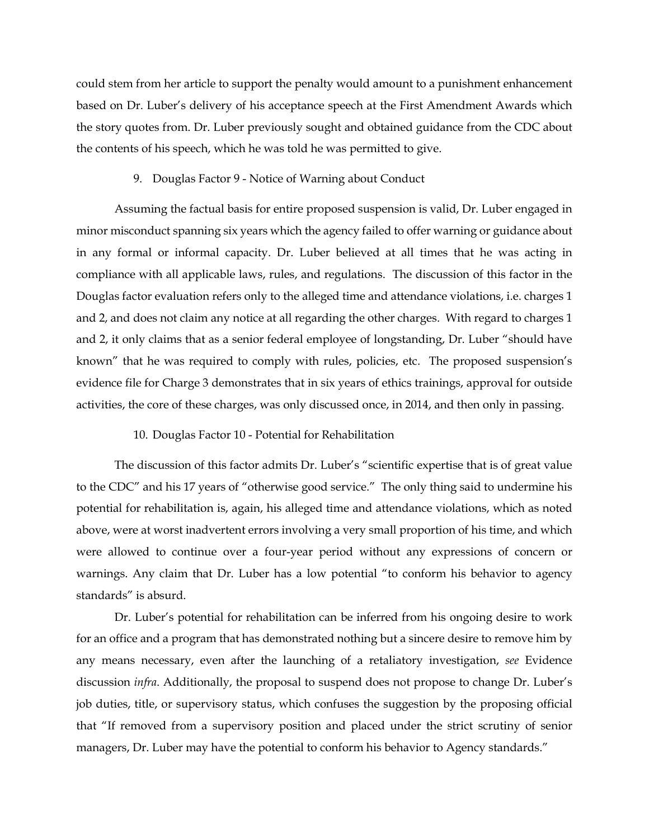could stem from her article to support the penalty would amount to a punishment enhancement based on Dr. Luber's delivery of his acceptance speech at the First Amendment Awards which the story quotes from. Dr. Luber previously sought and obtained guidance from the CDC about the contents of his speech, which he was told he was permitted to give.

#### 9. Douglas Factor 9 - Notice of Warning about Conduct

Assuming the factual basis for entire proposed suspension is valid, Dr. Luber engaged in minor misconduct spanning six years which the agency failed to offer warning or guidance about in any formal or informal capacity. Dr. Luber believed at all times that he was acting in compliance with all applicable laws, rules, and regulations. The discussion of this factor in the Douglas factor evaluation refers only to the alleged time and attendance violations, i.e. charges 1 and 2, and does not claim any notice at all regarding the other charges. With regard to charges 1 and 2, it only claims that as a senior federal employee of longstanding, Dr. Luber "should have known" that he was required to comply with rules, policies, etc. The proposed suspension's evidence file for Charge 3 demonstrates that in six years of ethics trainings, approval for outside activities, the core of these charges, was only discussed once, in 2014, and then only in passing.

### 10. Douglas Factor 10 - Potential for Rehabilitation

The discussion of this factor admits Dr. Luber's "scientific expertise that is of great value to the CDC" and his 17 years of "otherwise good service." The only thing said to undermine his potential for rehabilitation is, again, his alleged time and attendance violations, which as noted above, were at worst inadvertent errors involving a very small proportion of his time, and which were allowed to continue over a four-year period without any expressions of concern or warnings. Any claim that Dr. Luber has a low potential "to conform his behavior to agency standards" is absurd.

Dr. Luber's potential for rehabilitation can be inferred from his ongoing desire to work for an office and a program that has demonstrated nothing but a sincere desire to remove him by any means necessary, even after the launching of a retaliatory investigation, *see* Evidence discussion *infra*. Additionally, the proposal to suspend does not propose to change Dr. Luber's job duties, title, or supervisory status, which confuses the suggestion by the proposing official that "If removed from a supervisory position and placed under the strict scrutiny of senior managers, Dr. Luber may have the potential to conform his behavior to Agency standards."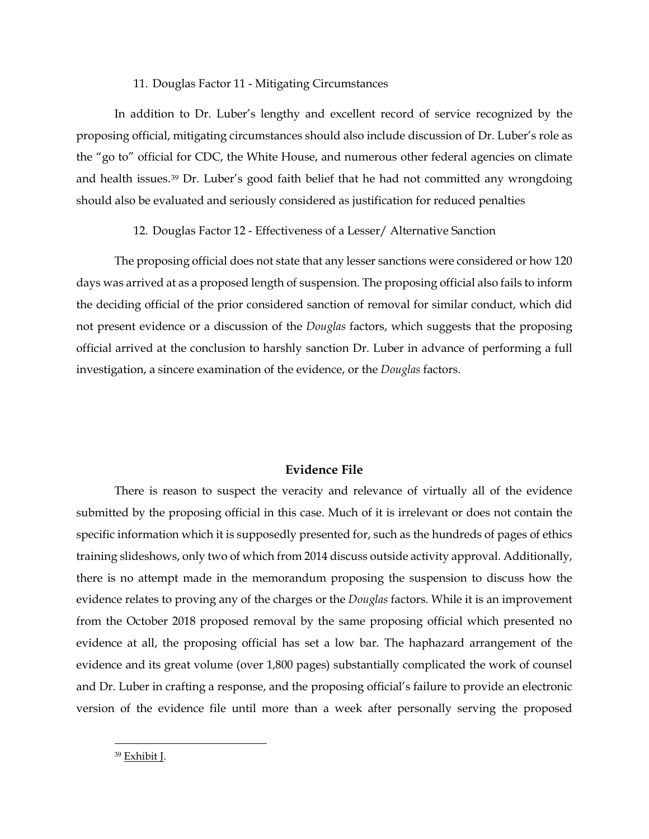# 11. Douglas Factor 11 - Mitigating Circumstances

In addition to Dr. Luber's lengthy and excellent record of service recognized by the proposing official, mitigating circumstances should also include discussion of Dr. Luber's role as the "go to" official for CDC, the White House, and numerous other federal agencies on climate and health issues.[39](#page-25-0) Dr. Luber's good faith belief that he had not committed any wrongdoing should also be evaluated and seriously considered as justification for reduced penalties

# 12. Douglas Factor 12 - Effectiveness of a Lesser/ Alternative Sanction

The proposing official does not state that any lesser sanctions were considered or how 120 days was arrived at as a proposed length of suspension. The proposing official also fails to inform the deciding official of the prior considered sanction of removal for similar conduct, which did not present evidence or a discussion of the *Douglas* factors, which suggests that the proposing official arrived at the conclusion to harshly sanction Dr. Luber in advance of performing a full investigation, a sincere examination of the evidence, or the *Douglas* factors.

# **Evidence File**

There is reason to suspect the veracity and relevance of virtually all of the evidence submitted by the proposing official in this case. Much of it is irrelevant or does not contain the specific information which it is supposedly presented for, such as the hundreds of pages of ethics training slideshows, only two of which from 2014 discuss outside activity approval. Additionally, there is no attempt made in the memorandum proposing the suspension to discuss how the evidence relates to proving any of the charges or the *Douglas* factors. While it is an improvement from the October 2018 proposed removal by the same proposing official which presented no evidence at all, the proposing official has set a low bar. The haphazard arrangement of the evidence and its great volume (over 1,800 pages) substantially complicated the work of counsel and Dr. Luber in crafting a response, and the proposing official's failure to provide an electronic version of the evidence file until more than a week after personally serving the proposed

<span id="page-25-0"></span>39 Exhibit J.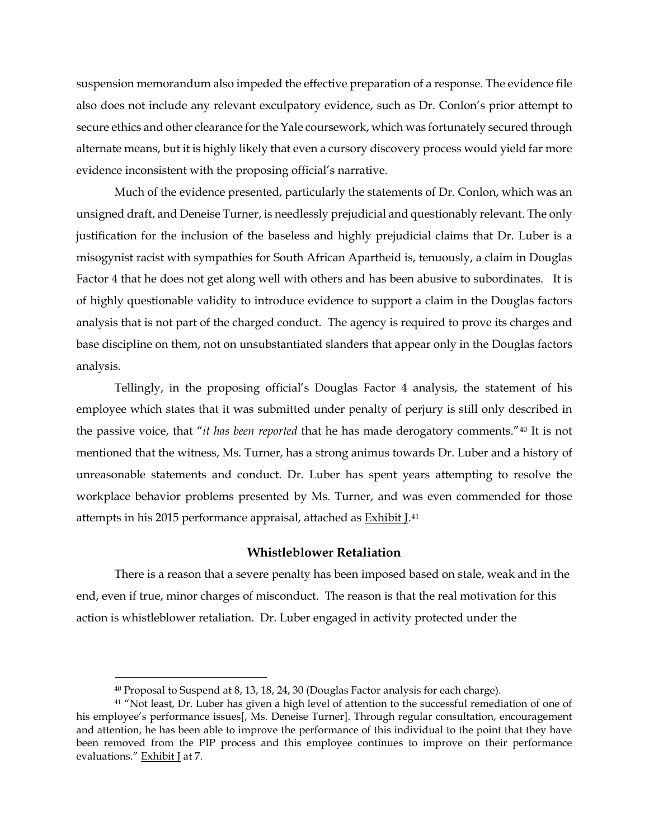suspension memorandum also impeded the effective preparation of a response. The evidence file also does not include any relevant exculpatory evidence, such as Dr. Conlon's prior attempt to secure ethics and other clearance for the Yale coursework, which was fortunately secured through alternate means, but it is highly likely that even a cursory discovery process would yield far more evidence inconsistent with the proposing official's narrative.

Much of the evidence presented, particularly the statements of Dr. Conlon, which was an unsigned draft, and Deneise Turner, is needlessly prejudicial and questionably relevant. The only justification for the inclusion of the baseless and highly prejudicial claims that Dr. Luber is a misogynist racist with sympathies for South African Apartheid is, tenuously, a claim in Douglas Factor 4 that he does not get along well with others and has been abusive to subordinates. It is of highly questionable validity to introduce evidence to support a claim in the Douglas factors analysis that is not part of the charged conduct. The agency is required to prove its charges and base discipline on them, not on unsubstantiated slanders that appear only in the Douglas factors analysis.

Tellingly, in the proposing official's Douglas Factor 4 analysis, the statement of his employee which states that it was submitted under penalty of perjury is still only described in the passive voice, that "*it has been reported* that he has made derogatory comments."[40](#page-26-0) It is not mentioned that the witness, Ms. Turner, has a strong animus towards Dr. Luber and a history of unreasonable statements and conduct. Dr. Luber has spent years attempting to resolve the workplace behavior problems presented by Ms. Turner, and was even commended for those attempts in his 2015 performance appraisal, attached as **Exhibit J.**<sup>41</sup>

# **Whistleblower Retaliation**

There is a reason that a severe penalty has been imposed based on stale, weak and in the end, even if true, minor charges of misconduct. The reason is that the real motivation for this action is whistleblower retaliation. Dr. Luber engaged in activity protected under the

 <sup>40</sup> Proposal to Suspend at 8, 13, 18, 24, 30 (Douglas Factor analysis for each charge).

<span id="page-26-1"></span><span id="page-26-0"></span><sup>&</sup>lt;sup>41</sup> "Not least, Dr. Luber has given a high level of attention to the successful remediation of one of his employee's performance issues[, Ms. Deneise Turner]. Through regular consultation, encouragement and attention, he has been able to improve the performance of this individual to the point that they have been removed from the PIP process and this employee continues to improve on their performance evaluations." Exhibit J at 7.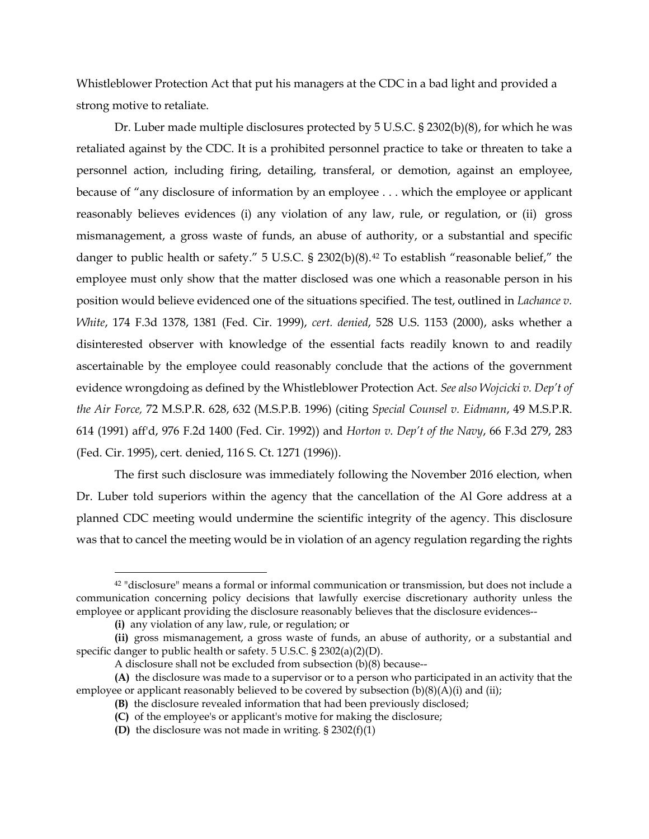Whistleblower Protection Act that put his managers at the CDC in a bad light and provided a strong motive to retaliate.

Dr. Luber made multiple disclosures protected by 5 U.S.C. § 2302(b)(8), for which he was retaliated against by the CDC. It is a prohibited personnel practice to take or threaten to take a personnel action, including firing, detailing, transferal, or demotion, against an employee, because of "any disclosure of information by an employee . . . which the employee or applicant reasonably believes evidences (i) any violation of any law, rule, or regulation, or (ii) gross mismanagement, a gross waste of funds, an abuse of authority, or a substantial and specific danger to public health or safety." 5 U.S.C. § 2302(b)(8).<sup>[42](#page-27-0)</sup> To establish "reasonable belief," the employee must only show that the matter disclosed was one which a reasonable person in his position would believe evidenced one of the situations specified. The test, outlined in *Lachance v. White*, 174 F.3d 1378, 1381 (Fed. Cir. 1999), *cert. denied*, 528 U.S. 1153 (2000), asks whether a disinterested observer with knowledge of the essential facts readily known to and readily ascertainable by the employee could reasonably conclude that the actions of the government evidence wrongdoing as defined by the Whistleblower Protection Act. *See also Wojcicki v. Dep't of the Air Force,* 72 M.S.P.R. 628, 632 (M.S.P.B. 1996) (citing *Special Counsel v. Eidmann*, 49 M.S.P.R. 614 (1991) aff'd, 976 F.2d 1400 (Fed. Cir. 1992)) and *Horton v. Dep't of the Navy*, 66 F.3d 279, 283 (Fed. Cir. 1995), cert. denied, 116 S. Ct. 1271 (1996)).

The first such disclosure was immediately following the November 2016 election, when Dr. Luber told superiors within the agency that the cancellation of the Al Gore address at a planned CDC meeting would undermine the scientific integrity of the agency. This disclosure was that to cancel the meeting would be in violation of an agency regulation regarding the rights

<span id="page-27-0"></span> <sup>42</sup> "disclosure" means a formal or informal communication or transmission, but does not include a communication concerning policy decisions that lawfully exercise discretionary authority unless the employee or applicant providing the disclosure reasonably believes that the disclosure evidences--

**<sup>(</sup>i)** any violation of any law, rule, or regulation; or

**<sup>(</sup>ii)** gross mismanagement, a gross waste of funds, an abuse of authority, or a substantial and specific danger to public health or safety. 5 U.S.C. § 2302(a)(2)(D).

A disclosure shall not be excluded from subsection (b)(8) because--

**<sup>(</sup>A)** the disclosure was made to a supervisor or to a person who participated in an activity that the employee or applicant reasonably believed to be covered by subsection  $(b)(8)(A)(i)$  and (ii);

**<sup>(</sup>B)** the disclosure revealed information that had been previously disclosed;

**<sup>(</sup>C)** of the employee's or applicant's motive for making the disclosure;

**<sup>(</sup>D)** the disclosure was not made in writing. § 2302(f)(1)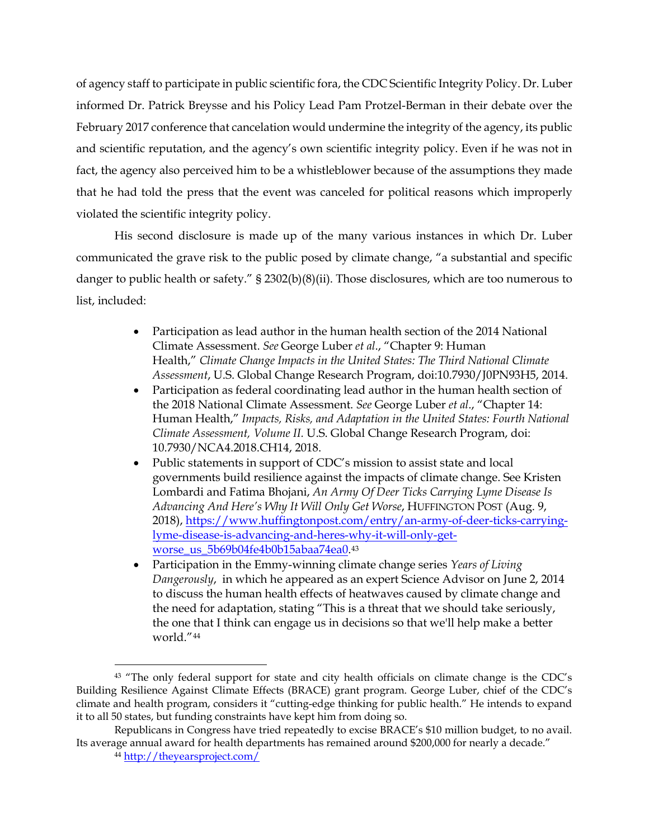of agency staff to participate in public scientific fora, the CDC Scientific Integrity Policy. Dr. Luber informed Dr. Patrick Breysse and his Policy Lead Pam Protzel-Berman in their debate over the February 2017 conference that cancelation would undermine the integrity of the agency, its public and scientific reputation, and the agency's own scientific integrity policy. Even if he was not in fact, the agency also perceived him to be a whistleblower because of the assumptions they made that he had told the press that the event was canceled for political reasons which improperly violated the scientific integrity policy.

His second disclosure is made up of the many various instances in which Dr. Luber communicated the grave risk to the public posed by climate change, "a substantial and specific danger to public health or safety." § 2302(b)(8)(ii). Those disclosures, which are too numerous to list, included:

- Participation as lead author in the human health section of the 2014 National Climate Assessment. *See* George Luber *et al*., "Chapter 9: Human Health," *Climate Change Impacts in the United States: The Third National Climate Assessment*, U.S. Global Change Research Program, doi:10.7930/J0PN93H5, 2014.
- Participation as federal coordinating lead author in the human health section of the 2018 National Climate Assessment. *See* George Luber *et al*., "Chapter 14: Human Health," *Impacts, Risks, and Adaptation in the United States: Fourth National Climate Assessment, Volume II.* U.S. Global Change Research Program, doi: 10.7930/NCA4.2018.CH14, 2018.
- Public statements in support of CDC's mission to assist state and local governments build resilience against the impacts of climate change. See Kristen Lombardi and Fatima Bhojani, *An Army Of Deer Ticks Carrying Lyme Disease Is Advancing And Here's Why It Will Only Get Worse*, HUFFINGTON POST (Aug. 9, 2018), [https://www.huffingtonpost.com/entry/an-army-of-deer-ticks-carrying](https://www.huffingtonpost.com/entry/an-army-of-deer-ticks-carrying-lyme-disease-is-advancing-and-heres-why-it-will-only-get-worse_us_5b69b04fe4b0b15abaa74ea0)[lyme-disease-is-advancing-and-heres-why-it-will-only-get-](https://www.huffingtonpost.com/entry/an-army-of-deer-ticks-carrying-lyme-disease-is-advancing-and-heres-why-it-will-only-get-worse_us_5b69b04fe4b0b15abaa74ea0)worse us 5b69b04fe4b0b15abaa74ea0.[43](#page-28-0)
- Participation in the Emmy-winning climate change series *Years of Living Dangerously*, in which he appeared as an expert Science Advisor on June 2, 2014 to discuss the human health effects of heatwaves caused by climate change and the need for adaptation, stating "This is a threat that we should take seriously, the one that I think can engage us in decisions so that we'll help make a better world."[44](#page-28-1)

<span id="page-28-0"></span><sup>&</sup>lt;sup>43</sup> "The only federal support for state and city health officials on climate change is the CDC's Building Resilience Against Climate Effects (BRACE) grant program. George Luber, chief of the CDC's climate and health program, considers it "cutting-edge thinking for public health." He intends to expand it to all 50 states, but funding constraints have kept him from doing so.

<span id="page-28-1"></span>Republicans in Congress have tried repeatedly to excise BRACE's \$10 million budget, to no avail. Its average annual award for health departments has remained around \$200,000 for nearly a decade."

<sup>44</sup> <http://theyearsproject.com/>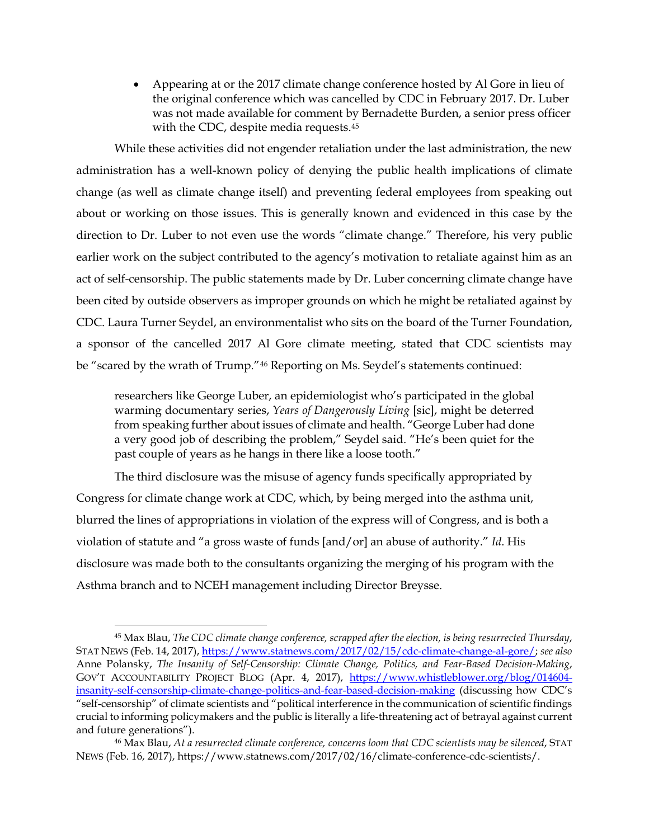• Appearing at or the 2017 climate change conference hosted by Al Gore in lieu of the original conference which was cancelled by CDC in February 2017. Dr. Luber was not made available for comment by Bernadette Burden, a senior press officer with the CDC, despite media requests.<sup>[45](#page-29-0)</sup>

While these activities did not engender retaliation under the last administration, the new administration has a well-known policy of denying the public health implications of climate change (as well as climate change itself) and preventing federal employees from speaking out about or working on those issues. This is generally known and evidenced in this case by the direction to Dr. Luber to not even use the words "climate change." Therefore, his very public earlier work on the subject contributed to the agency's motivation to retaliate against him as an act of self-censorship. The public statements made by Dr. Luber concerning climate change have been cited by outside observers as improper grounds on which he might be retaliated against by CDC. Laura Turner Seydel, an environmentalist who sits on the board of the Turner Foundation, a sponsor of the cancelled 2017 Al Gore climate meeting, stated that CDC scientists may be "scared by the wrath of Trump."[46](#page-29-1) Reporting on Ms. Seydel's statements continued:

researchers like George Luber, an epidemiologist who's participated in the global warming documentary series, *Years of Dangerously Living* [sic], might be deterred from speaking further about issues of climate and health. "George Luber had done a very good job of describing the problem," Seydel said. "He's been quiet for the past couple of years as he hangs in there like a loose tooth."

The third disclosure was the misuse of agency funds specifically appropriated by Congress for climate change work at CDC, which, by being merged into the asthma unit, blurred the lines of appropriations in violation of the express will of Congress, and is both a violation of statute and "a gross waste of funds [and/or] an abuse of authority." *Id*. His disclosure was made both to the consultants organizing the merging of his program with the Asthma branch and to NCEH management including Director Breysse.

<span id="page-29-0"></span> <sup>45</sup> Max Blau, *The CDC climate change conference, scrapped after the election, is being resurrected Thursday*, STAT NEWS (Feb. 14, 2017)[, https://www.statnews.com/2017/02/15/cdc-climate-change-al-gore/;](https://www.statnews.com/2017/02/15/cdc-climate-change-al-gore/) *see also* Anne Polansky, *The Insanity of Self-Censorship: Climate Change, Politics, and Fear-Based Decision-Making*, GOV'T ACCOUNTABILITY PROJECT BLOG (Apr. 4, 2017), [https://www.whistleblower.org/blog/014604](https://www.whistleblower.org/blog/014604-insanity-self-censorship-climate-change-politics-and-fear-based-decision-making) [insanity-self-censorship-climate-change-politics-and-fear-based-decision-making](https://www.whistleblower.org/blog/014604-insanity-self-censorship-climate-change-politics-and-fear-based-decision-making) (discussing how CDC's "self-censorship" of climate scientists and "political interference in the communication of scientific findings crucial to informing policymakers and the public is literally a life-threatening act of betrayal against current and future generations").

<span id="page-29-1"></span><sup>46</sup> Max Blau, *At a resurrected climate conference, concerns loom that CDC scientists may be silenced*, STAT NEWS (Feb. 16, 2017), https://www.statnews.com/2017/02/16/climate-conference-cdc-scientists/.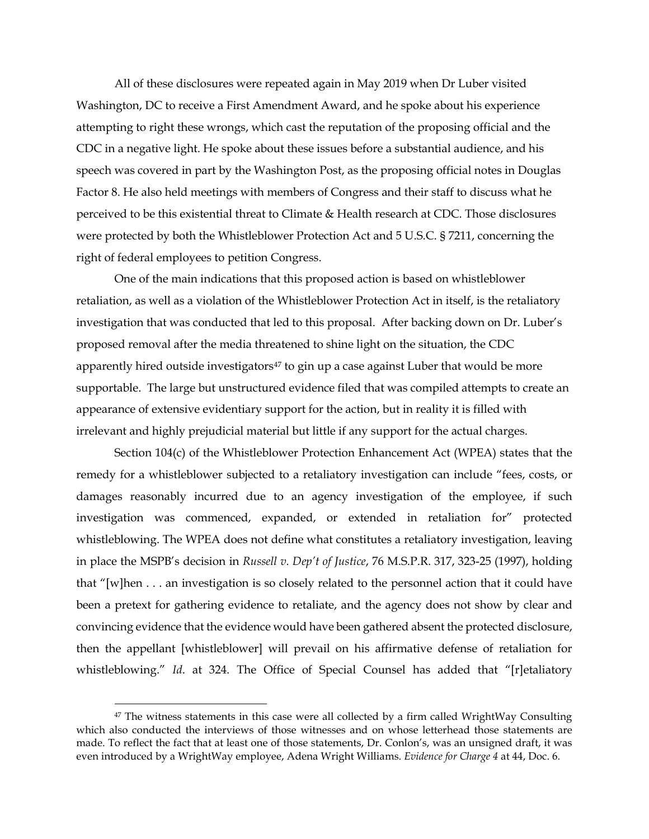All of these disclosures were repeated again in May 2019 when Dr Luber visited Washington, DC to receive a First Amendment Award, and he spoke about his experience attempting to right these wrongs, which cast the reputation of the proposing official and the CDC in a negative light. He spoke about these issues before a substantial audience, and his speech was covered in part by the Washington Post, as the proposing official notes in Douglas Factor 8. He also held meetings with members of Congress and their staff to discuss what he perceived to be this existential threat to Climate & Health research at CDC. Those disclosures were protected by both the Whistleblower Protection Act and 5 U.S.C. § 7211, concerning the right of federal employees to petition Congress.

One of the main indications that this proposed action is based on whistleblower retaliation, as well as a violation of the Whistleblower Protection Act in itself, is the retaliatory investigation that was conducted that led to this proposal. After backing down on Dr. Luber's proposed removal after the media threatened to shine light on the situation, the CDC apparently hired outside investigators<sup>[47](#page-30-0)</sup> to gin up a case against Luber that would be more supportable. The large but unstructured evidence filed that was compiled attempts to create an appearance of extensive evidentiary support for the action, but in reality it is filled with irrelevant and highly prejudicial material but little if any support for the actual charges.

Section 104(c) of the Whistleblower Protection Enhancement Act (WPEA) states that the remedy for a whistleblower subjected to a retaliatory investigation can include "fees, costs, or damages reasonably incurred due to an agency investigation of the employee, if such investigation was commenced, expanded, or extended in retaliation for" protected whistleblowing. The WPEA does not define what constitutes a retaliatory investigation, leaving in place the MSPB's decision in *Russell v. Dep't of Justice*, 76 M.S.P.R. 317, 323-25 (1997), holding that "[w]hen . . . an investigation is so closely related to the personnel action that it could have been a pretext for gathering evidence to retaliate, and the agency does not show by clear and convincing evidence that the evidence would have been gathered absent the protected disclosure, then the appellant [whistleblower] will prevail on his affirmative defense of retaliation for whistleblowing." *Id*. at 324. The Office of Special Counsel has added that "[r]etaliatory

<span id="page-30-0"></span> $47$  The witness statements in this case were all collected by a firm called WrightWay Consulting which also conducted the interviews of those witnesses and on whose letterhead those statements are made. To reflect the fact that at least one of those statements, Dr. Conlon's, was an unsigned draft, it was even introduced by a WrightWay employee, Adena Wright Williams. *Evidence for Charge 4* at 44, Doc. 6.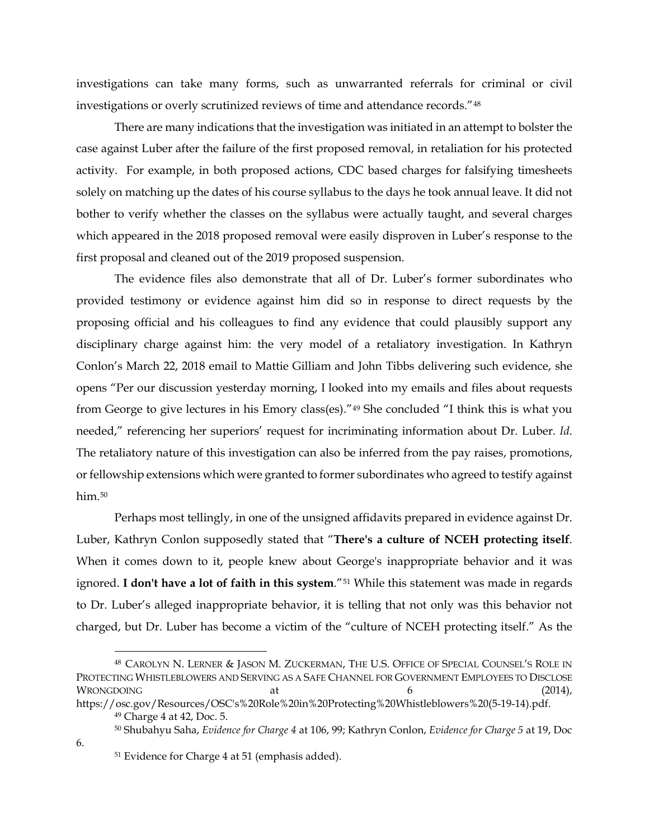investigations can take many forms, such as unwarranted referrals for criminal or civil investigations or overly scrutinized reviews of time and attendance records."[48](#page-31-0)

There are many indications that the investigation was initiated in an attempt to bolster the case against Luber after the failure of the first proposed removal, in retaliation for his protected activity. For example, in both proposed actions, CDC based charges for falsifying timesheets solely on matching up the dates of his course syllabus to the days he took annual leave. It did not bother to verify whether the classes on the syllabus were actually taught, and several charges which appeared in the 2018 proposed removal were easily disproven in Luber's response to the first proposal and cleaned out of the 2019 proposed suspension.

The evidence files also demonstrate that all of Dr. Luber's former subordinates who provided testimony or evidence against him did so in response to direct requests by the proposing official and his colleagues to find any evidence that could plausibly support any disciplinary charge against him: the very model of a retaliatory investigation. In Kathryn Conlon's March 22, 2018 email to Mattie Gilliam and John Tibbs delivering such evidence, she opens "Per our discussion yesterday morning, I looked into my emails and files about requests from George to give lectures in his Emory class(es)."[49](#page-31-1) She concluded "I think this is what you needed," referencing her superiors' request for incriminating information about Dr. Luber. *Id*. The retaliatory nature of this investigation can also be inferred from the pay raises, promotions, or fellowship extensions which were granted to former subordinates who agreed to testify against him.<sup>[50](#page-31-2)</sup>

Perhaps most tellingly, in one of the unsigned affidavits prepared in evidence against Dr. Luber, Kathryn Conlon supposedly stated that "**There's a culture of NCEH protecting itself**. When it comes down to it, people knew about George's inappropriate behavior and it was ignored. **I don't have a lot of faith in this system**."[51](#page-31-3) While this statement was made in regards to Dr. Luber's alleged inappropriate behavior, it is telling that not only was this behavior not charged, but Dr. Luber has become a victim of the "culture of NCEH protecting itself." As the

<span id="page-31-2"></span><span id="page-31-1"></span><span id="page-31-0"></span> <sup>48</sup> CAROLYN N. LERNER & JASON M. ZUCKERMAN, THE U.S. OFFICE OF SPECIAL COUNSEL'S ROLE IN PROTECTING WHISTLEBLOWERS AND SERVING AS A SAFE CHANNEL FOR GOVERNMENT EMPLOYEES TO DISCLOSE  $W$ RONGDOING at  $\alpha$  at  $\beta$  (2014), https://osc.gov/Resources/OSC's%20Role%20in%20Protecting%20Whistleblowers%20(5-19-14).pdf.

<sup>49</sup> Charge 4 at 42, Doc. 5.

<sup>50</sup> Shubahyu Saha, *Evidence for Charge 4* at 106, 99; Kathryn Conlon, *Evidence for Charge 5* at 19, Doc

<span id="page-31-3"></span><sup>51</sup> Evidence for Charge 4 at 51 (emphasis added).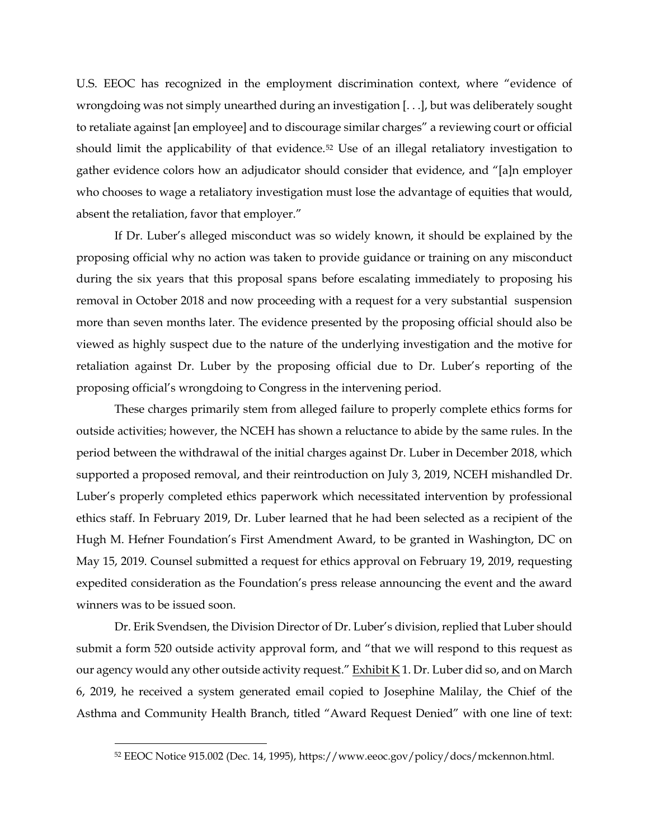U.S. EEOC has recognized in the employment discrimination context, where "evidence of wrongdoing was not simply unearthed during an investigation [. . .], but was deliberately sought to retaliate against [an employee] and to discourage similar charges" a reviewing court or official should limit the applicability of that evidence[.52](#page-32-0) Use of an illegal retaliatory investigation to gather evidence colors how an adjudicator should consider that evidence, and "[a]n employer who chooses to wage a retaliatory investigation must lose the advantage of equities that would, absent the retaliation, favor that employer."

If Dr. Luber's alleged misconduct was so widely known, it should be explained by the proposing official why no action was taken to provide guidance or training on any misconduct during the six years that this proposal spans before escalating immediately to proposing his removal in October 2018 and now proceeding with a request for a very substantial suspension more than seven months later. The evidence presented by the proposing official should also be viewed as highly suspect due to the nature of the underlying investigation and the motive for retaliation against Dr. Luber by the proposing official due to Dr. Luber's reporting of the proposing official's wrongdoing to Congress in the intervening period.

These charges primarily stem from alleged failure to properly complete ethics forms for outside activities; however, the NCEH has shown a reluctance to abide by the same rules. In the period between the withdrawal of the initial charges against Dr. Luber in December 2018, which supported a proposed removal, and their reintroduction on July 3, 2019, NCEH mishandled Dr. Luber's properly completed ethics paperwork which necessitated intervention by professional ethics staff. In February 2019, Dr. Luber learned that he had been selected as a recipient of the Hugh M. Hefner Foundation's First Amendment Award, to be granted in Washington, DC on May 15, 2019. Counsel submitted a request for ethics approval on February 19, 2019, requesting expedited consideration as the Foundation's press release announcing the event and the award winners was to be issued soon.

Dr. Erik Svendsen, the Division Director of Dr. Luber's division, replied that Luber should submit a form 520 outside activity approval form, and "that we will respond to this request as our agency would any other outside activity request." Exhibit K 1. Dr. Luber did so, and on March 6, 2019, he received a system generated email copied to Josephine Malilay, the Chief of the Asthma and Community Health Branch, titled "Award Request Denied" with one line of text:

<span id="page-32-0"></span> <sup>52</sup> EEOC Notice 915.002 (Dec. 14, 1995), https://www.eeoc.gov/policy/docs/mckennon.html.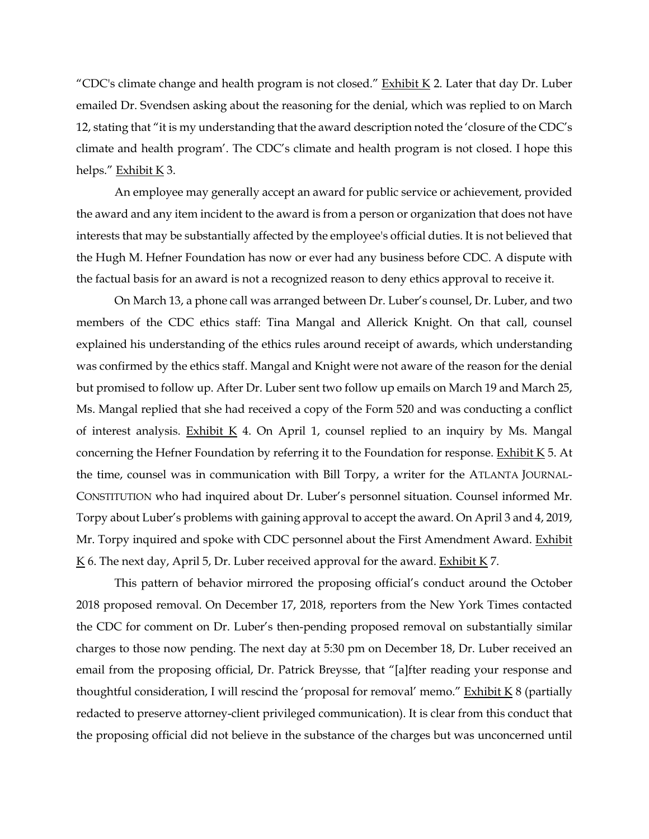"CDC's climate change and health program is not closed." Exhibit K 2. Later that day Dr. Luber emailed Dr. Svendsen asking about the reasoning for the denial, which was replied to on March 12, stating that "it is my understanding that the award description noted the 'closure of the CDC's climate and health program'. The CDC's climate and health program is not closed. I hope this helps." Exhibit K 3.

An employee may generally accept an award for public service or achievement, provided the award and any item incident to the award is from a person or organization that does not have interests that may be substantially affected by the employee's official duties. It is not believed that the Hugh M. Hefner Foundation has now or ever had any business before CDC. A dispute with the factual basis for an award is not a recognized reason to deny ethics approval to receive it.

On March 13, a phone call was arranged between Dr. Luber's counsel, Dr. Luber, and two members of the CDC ethics staff: Tina Mangal and Allerick Knight. On that call, counsel explained his understanding of the ethics rules around receipt of awards, which understanding was confirmed by the ethics staff. Mangal and Knight were not aware of the reason for the denial but promised to follow up. After Dr. Luber sent two follow up emails on March 19 and March 25, Ms. Mangal replied that she had received a copy of the Form 520 and was conducting a conflict of interest analysis. Exhibit  $K$  4. On April 1, counsel replied to an inquiry by Ms. Mangal concerning the Hefner Foundation by referring it to the Foundation for response. Exhibit  $K$  5. At the time, counsel was in communication with Bill Torpy, a writer for the ATLANTA JOURNAL-CONSTITUTION who had inquired about Dr. Luber's personnel situation. Counsel informed Mr. Torpy about Luber's problems with gaining approval to accept the award. On April 3 and 4, 2019, Mr. Torpy inquired and spoke with CDC personnel about the First Amendment Award. Exhibit  $K$  6. The next day, April 5, Dr. Luber received approval for the award. Exhibit  $K$  7.

This pattern of behavior mirrored the proposing official's conduct around the October 2018 proposed removal. On December 17, 2018, reporters from the New York Times contacted the CDC for comment on Dr. Luber's then-pending proposed removal on substantially similar charges to those now pending. The next day at 5:30 pm on December 18, Dr. Luber received an email from the proposing official, Dr. Patrick Breysse, that "[a]fter reading your response and thoughtful consideration, I will rescind the 'proposal for removal' memo." Exhibit  $K8$  (partially redacted to preserve attorney-client privileged communication). It is clear from this conduct that the proposing official did not believe in the substance of the charges but was unconcerned until